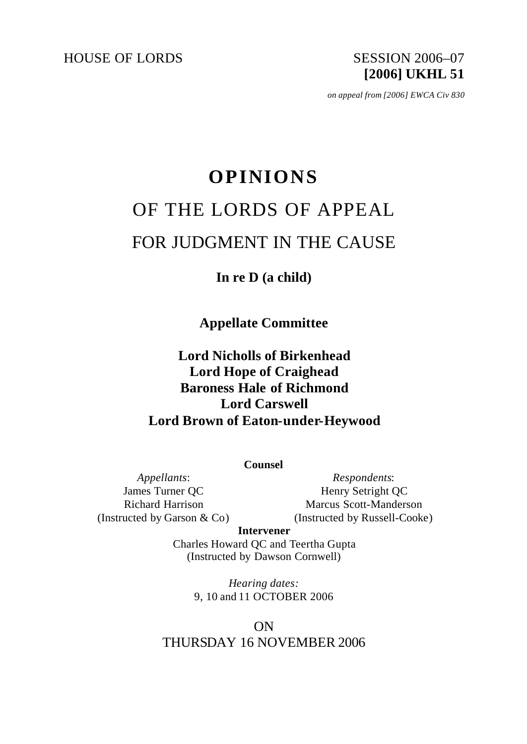HOUSE OF LORDS SESSION 2006–07

# **[2006] UKHL 51**

*on appeal from [2006] EWCA Civ 830*

## **OPINIONS** OF THE LORDS OF APPEAL FOR JUDGMENT IN THE CAUSE

### **In re D (a child)**

**Appellate Committee**

**Lord Nicholls of Birkenhead Lord Hope of Craighead Baroness Hale of Richmond Lord Carswell Lord Brown of Eaton-under-Heywood**

**Counsel**

*Appellants*: James Turner QC Richard Harrison (Instructed by Garson & Co)

*Respondents*: Henry Setright QC Marcus Scott-Manderson (Instructed by Russell-Cooke)

**Intervener**

Charles Howard QC and Teertha Gupta (Instructed by Dawson Cornwell)

> *Hearing dates:* 9, 10 and 11 OCTOBER 2006

ON THURSDAY 16 NOVEMBER 2006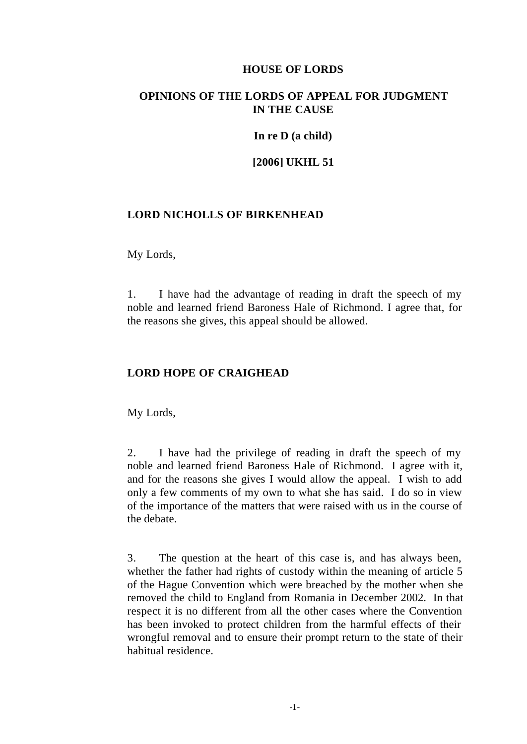#### **HOUSE OF LORDS**

#### **OPINIONS OF THE LORDS OF APPEAL FOR JUDGMENT IN THE CAUSE**

#### **In re D (a child)**

#### **[2006] UKHL 51**

#### **LORD NICHOLLS OF BIRKENHEAD**

#### My Lords,

1. I have had the advantage of reading in draft the speech of my noble and learned friend Baroness Hale of Richmond. I agree that, for the reasons she gives, this appeal should be allowed.

#### **LORD HOPE OF CRAIGHEAD**

My Lords,

2. I have had the privilege of reading in draft the speech of my noble and learned friend Baroness Hale of Richmond. I agree with it, and for the reasons she gives I would allow the appeal. I wish to add only a few comments of my own to what she has said. I do so in view of the importance of the matters that were raised with us in the course of the debate.

3. The question at the heart of this case is, and has always been, whether the father had rights of custody within the meaning of article 5 of the Hague Convention which were breached by the mother when she removed the child to England from Romania in December 2002. In that respect it is no different from all the other cases where the Convention has been invoked to protect children from the harmful effects of their wrongful removal and to ensure their prompt return to the state of their habitual residence.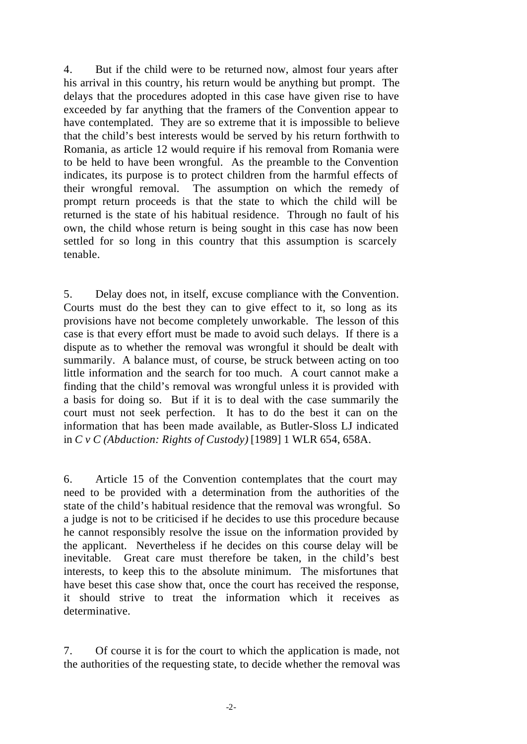4. But if the child were to be returned now, almost four years after his arrival in this country, his return would be anything but prompt. The delays that the procedures adopted in this case have given rise to have exceeded by far anything that the framers of the Convention appear to have contemplated. They are so extreme that it is impossible to believe that the child's best interests would be served by his return forthwith to Romania, as article 12 would require if his removal from Romania were to be held to have been wrongful. As the preamble to the Convention indicates, its purpose is to protect children from the harmful effects of their wrongful removal. The assumption on which the remedy of prompt return proceeds is that the state to which the child will be returned is the state of his habitual residence. Through no fault of his own, the child whose return is being sought in this case has now been settled for so long in this country that this assumption is scarcely tenable.

5. Delay does not, in itself, excuse compliance with the Convention. Courts must do the best they can to give effect to it, so long as its provisions have not become completely unworkable. The lesson of this case is that every effort must be made to avoid such delays. If there is a dispute as to whether the removal was wrongful it should be dealt with summarily. A balance must, of course, be struck between acting on too little information and the search for too much. A court cannot make a finding that the child's removal was wrongful unless it is provided with a basis for doing so. But if it is to deal with the case summarily the court must not seek perfection. It has to do the best it can on the information that has been made available, as Butler-Sloss LJ indicated in *C v C (Abduction: Rights of Custody)* [1989] 1 WLR 654, 658A.

6. Article 15 of the Convention contemplates that the court may need to be provided with a determination from the authorities of the state of the child's habitual residence that the removal was wrongful. So a judge is not to be criticised if he decides to use this procedure because he cannot responsibly resolve the issue on the information provided by the applicant. Nevertheless if he decides on this course delay will be inevitable. Great care must therefore be taken, in the child's best interests, to keep this to the absolute minimum. The misfortunes that have beset this case show that, once the court has received the response, it should strive to treat the information which it receives as determinative.

7. Of course it is for the court to which the application is made, not the authorities of the requesting state, to decide whether the removal was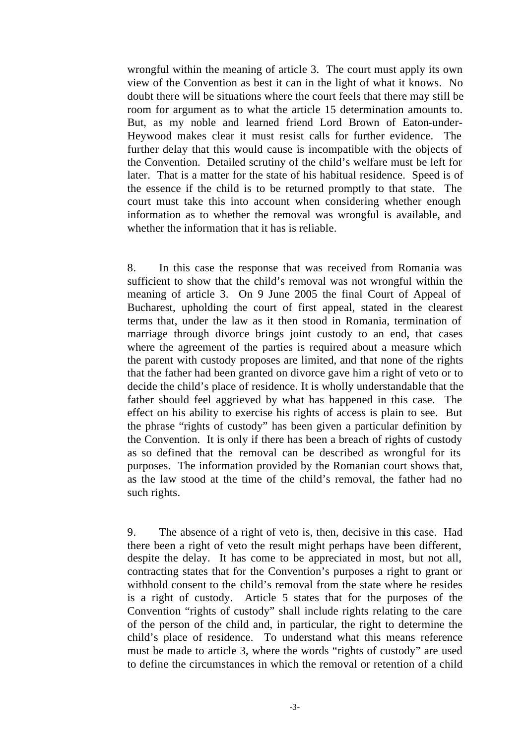wrongful within the meaning of article 3. The court must apply its own view of the Convention as best it can in the light of what it knows. No doubt there will be situations where the court feels that there may still be room for argument as to what the article 15 determination amounts to. But, as my noble and learned friend Lord Brown of Eaton-under-Heywood makes clear it must resist calls for further evidence. The further delay that this would cause is incompatible with the objects of the Convention. Detailed scrutiny of the child's welfare must be left for later. That is a matter for the state of his habitual residence. Speed is of the essence if the child is to be returned promptly to that state. The court must take this into account when considering whether enough information as to whether the removal was wrongful is available, and whether the information that it has is reliable.

8. In this case the response that was received from Romania was sufficient to show that the child's removal was not wrongful within the meaning of article 3. On 9 June 2005 the final Court of Appeal of Bucharest, upholding the court of first appeal, stated in the clearest terms that, under the law as it then stood in Romania, termination of marriage through divorce brings joint custody to an end, that cases where the agreement of the parties is required about a measure which the parent with custody proposes are limited, and that none of the rights that the father had been granted on divorce gave him a right of veto or to decide the child's place of residence. It is wholly understandable that the father should feel aggrieved by what has happened in this case. The effect on his ability to exercise his rights of access is plain to see. But the phrase "rights of custody" has been given a particular definition by the Convention. It is only if there has been a breach of rights of custody as so defined that the removal can be described as wrongful for its purposes. The information provided by the Romanian court shows that, as the law stood at the time of the child's removal, the father had no such rights.

9. The absence of a right of veto is, then, decisive in this case. Had there been a right of veto the result might perhaps have been different, despite the delay. It has come to be appreciated in most, but not all, contracting states that for the Convention's purposes a right to grant or withhold consent to the child's removal from the state where he resides is a right of custody. Article 5 states that for the purposes of the Convention "rights of custody" shall include rights relating to the care of the person of the child and, in particular, the right to determine the child's place of residence. To understand what this means reference must be made to article 3, where the words "rights of custody" are used to define the circumstances in which the removal or retention of a child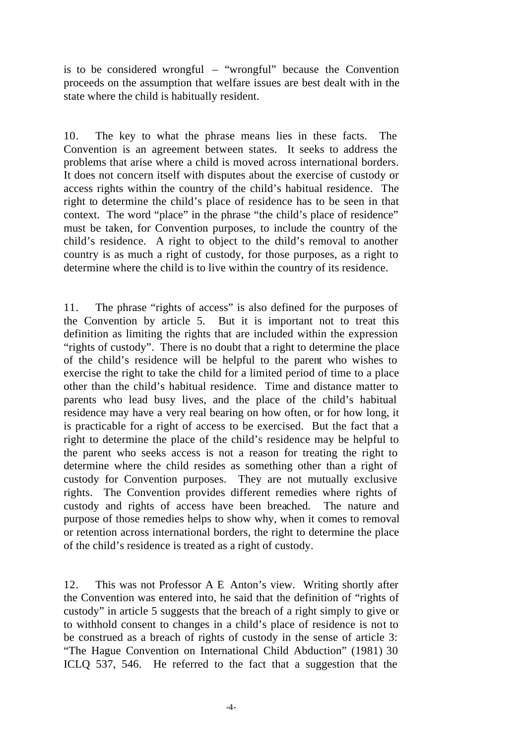is to be considered wrongful – "wrongful" because the Convention proceeds on the assumption that welfare issues are best dealt with in the state where the child is habitually resident.

10. The key to what the phrase means lies in these facts. The Convention is an agreement between states. It seeks to address the problems that arise where a child is moved across international borders. It does not concern itself with disputes about the exercise of custody or access rights within the country of the child's habitual residence. The right to determine the child's place of residence has to be seen in that context. The word "place" in the phrase "the child's place of residence" must be taken, for Convention purposes, to include the country of the child's residence. A right to object to the child's removal to another country is as much a right of custody, for those purposes, as a right to determine where the child is to live within the country of its residence.

11. The phrase "rights of access" is also defined for the purposes of the Convention by article 5. But it is important not to treat this definition as limiting the rights that are included within the expression "rights of custody". There is no doubt that a right to determine the place of the child's residence will be helpful to the parent who wishes to exercise the right to take the child for a limited period of time to a place other than the child's habitual residence. Time and distance matter to parents who lead busy lives, and the place of the child's habitual residence may have a very real bearing on how often, or for how long, it is practicable for a right of access to be exercised. But the fact that a right to determine the place of the child's residence may be helpful to the parent who seeks access is not a reason for treating the right to determine where the child resides as something other than a right of custody for Convention purposes. They are not mutually exclusive rights. The Convention provides different remedies where rights of custody and rights of access have been breached. The nature and purpose of those remedies helps to show why, when it comes to removal or retention across international borders, the right to determine the place of the child's residence is treated as a right of custody.

12. This was not Professor A E Anton's view. Writing shortly after the Convention was entered into, he said that the definition of "rights of custody" in article 5 suggests that the breach of a right simply to give or to withhold consent to changes in a child's place of residence is not to be construed as a breach of rights of custody in the sense of article 3: "The Hague Convention on International Child Abduction" (1981) 30 ICLQ 537, 546. He referred to the fact that a suggestion that the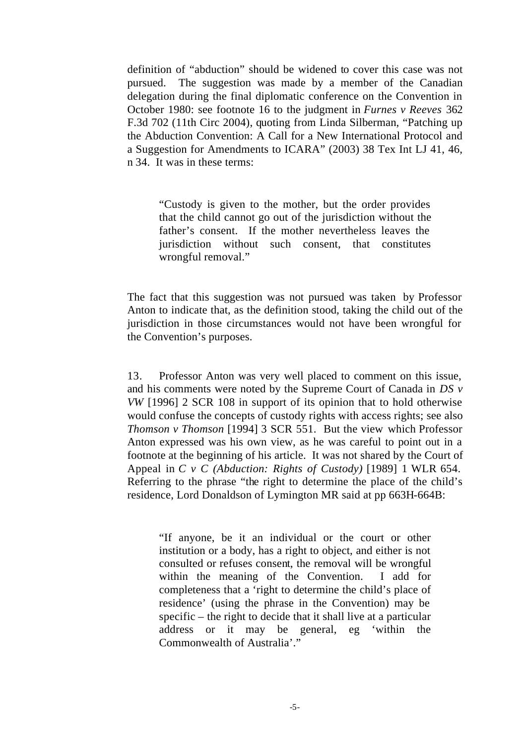definition of "abduction" should be widened to cover this case was not pursued. The suggestion was made by a member of the Canadian delegation during the final diplomatic conference on the Convention in October 1980: see footnote 16 to the judgment in *Furnes v Reeves* 362 F.3d 702 (11th Circ 2004), quoting from Linda Silberman, "Patching up the Abduction Convention: A Call for a New International Protocol and a Suggestion for Amendments to ICARA" (2003) 38 Tex Int LJ 41, 46, n 34. It was in these terms:

"Custody is given to the mother, but the order provides that the child cannot go out of the jurisdiction without the father's consent. If the mother nevertheless leaves the jurisdiction without such consent, that constitutes wrongful removal."

The fact that this suggestion was not pursued was taken by Professor Anton to indicate that, as the definition stood, taking the child out of the jurisdiction in those circumstances would not have been wrongful for the Convention's purposes.

13. Professor Anton was very well placed to comment on this issue, and his comments were noted by the Supreme Court of Canada in *DS v VW* [1996] 2 SCR 108 in support of its opinion that to hold otherwise would confuse the concepts of custody rights with access rights; see also *Thomson v Thomson* [1994] 3 SCR 551. But the view which Professor Anton expressed was his own view, as he was careful to point out in a footnote at the beginning of his article. It was not shared by the Court of Appeal in *C v C (Abduction: Rights of Custody)* [1989] 1 WLR 654. Referring to the phrase "the right to determine the place of the child's residence, Lord Donaldson of Lymington MR said at pp 663H-664B:

"If anyone, be it an individual or the court or other institution or a body, has a right to object, and either is not consulted or refuses consent, the removal will be wrongful within the meaning of the Convention. I add for completeness that a 'right to determine the child's place of residence' (using the phrase in the Convention) may be specific – the right to decide that it shall live at a particular address or it may be general, eg 'within the Commonwealth of Australia'."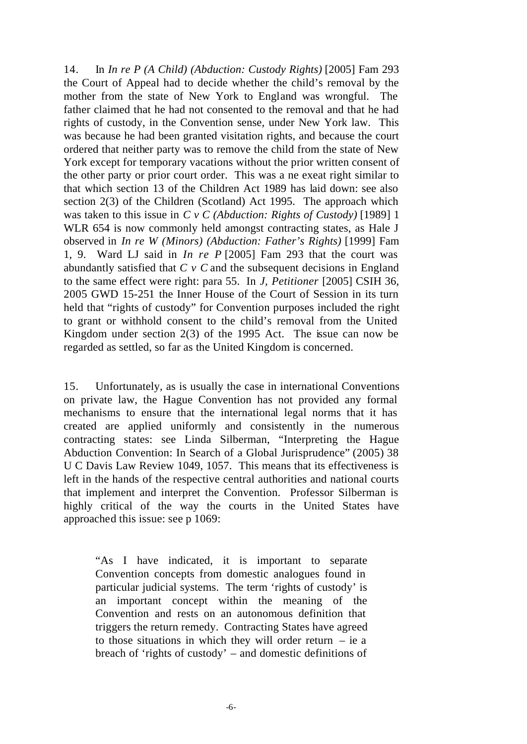14. In *In re P (A Child) (Abduction: Custody Rights)* [2005] Fam 293 the Court of Appeal had to decide whether the child's removal by the mother from the state of New York to England was wrongful. The father claimed that he had not consented to the removal and that he had rights of custody, in the Convention sense, under New York law. This was because he had been granted visitation rights, and because the court ordered that neither party was to remove the child from the state of New York except for temporary vacations without the prior written consent of the other party or prior court order. This was a ne exeat right similar to that which section 13 of the Children Act 1989 has laid down: see also section 2(3) of the Children (Scotland) Act 1995. The approach which was taken to this issue in *C v C (Abduction: Rights of Custody)* [1989] 1 WLR 654 is now commonly held amongst contracting states, as Hale J observed in *In re W (Minors) (Abduction: Father's Rights)* [1999] Fam 1, 9. Ward LJ said in *In re P* [2005] Fam 293 that the court was abundantly satisfied that *C v C* and the subsequent decisions in England to the same effect were right: para 55. In *J, Petitioner* [2005] CSIH 36, 2005 GWD 15-251 the Inner House of the Court of Session in its turn held that "rights of custody" for Convention purposes included the right to grant or withhold consent to the child's removal from the United Kingdom under section 2(3) of the 1995 Act. The issue can now be regarded as settled, so far as the United Kingdom is concerned.

15. Unfortunately, as is usually the case in international Conventions on private law, the Hague Convention has not provided any formal mechanisms to ensure that the international legal norms that it has created are applied uniformly and consistently in the numerous contracting states: see Linda Silberman, "Interpreting the Hague Abduction Convention: In Search of a Global Jurisprudence" (2005) 38 U C Davis Law Review 1049, 1057. This means that its effectiveness is left in the hands of the respective central authorities and national courts that implement and interpret the Convention. Professor Silberman is highly critical of the way the courts in the United States have approached this issue: see p 1069:

"As I have indicated, it is important to separate Convention concepts from domestic analogues found in particular judicial systems. The term 'rights of custody' is an important concept within the meaning of the Convention and rests on an autonomous definition that triggers the return remedy. Contracting States have agreed to those situations in which they will order return  $-$  ie a breach of 'rights of custody' – and domestic definitions of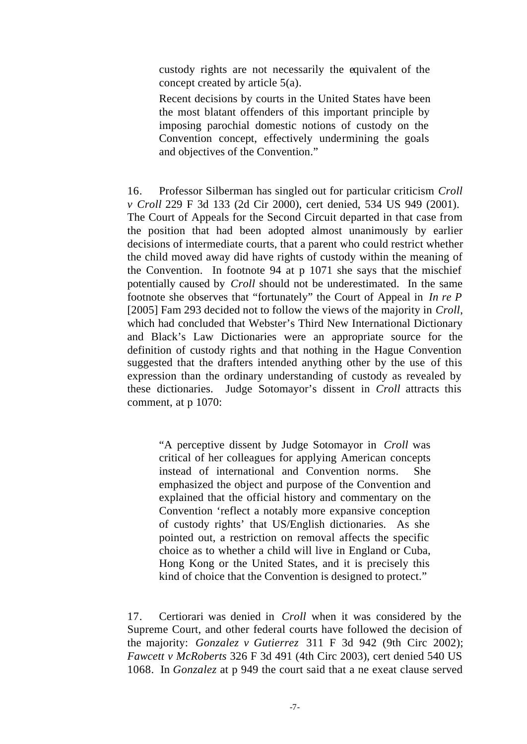custody rights are not necessarily the equivalent of the concept created by article 5(a).

Recent decisions by courts in the United States have been the most blatant offenders of this important principle by imposing parochial domestic notions of custody on the Convention concept, effectively undermining the goals and objectives of the Convention."

16. Professor Silberman has singled out for particular criticism *Croll v Croll* 229 F 3d 133 (2d Cir 2000), cert denied, 534 US 949 (2001). The Court of Appeals for the Second Circuit departed in that case from the position that had been adopted almost unanimously by earlier decisions of intermediate courts, that a parent who could restrict whether the child moved away did have rights of custody within the meaning of the Convention. In footnote 94 at p 1071 she says that the mischief potentially caused by *Croll* should not be underestimated. In the same footnote she observes that "fortunately" the Court of Appeal in *In re P*  [2005] Fam 293 decided not to follow the views of the majority in *Croll*, which had concluded that Webster's Third New International Dictionary and Black's Law Dictionaries were an appropriate source for the definition of custody rights and that nothing in the Hague Convention suggested that the drafters intended anything other by the use of this expression than the ordinary understanding of custody as revealed by these dictionaries. Judge Sotomayor's dissent in *Croll* attracts this comment, at p 1070:

"A perceptive dissent by Judge Sotomayor in *Croll* was critical of her colleagues for applying American concepts instead of international and Convention norms. She emphasized the object and purpose of the Convention and explained that the official history and commentary on the Convention 'reflect a notably more expansive conception of custody rights' that US/English dictionaries. As she pointed out, a restriction on removal affects the specific choice as to whether a child will live in England or Cuba, Hong Kong or the United States, and it is precisely this kind of choice that the Convention is designed to protect."

17. Certiorari was denied in *Croll* when it was considered by the Supreme Court, and other federal courts have followed the decision of the majority: *Gonzalez v Gutierrez* 311 F 3d 942 (9th Circ 2002); *Fawcett v McRoberts* 326 F 3d 491 (4th Circ 2003), cert denied 540 US 1068. In *Gonzalez* at p 949 the court said that a ne exeat clause served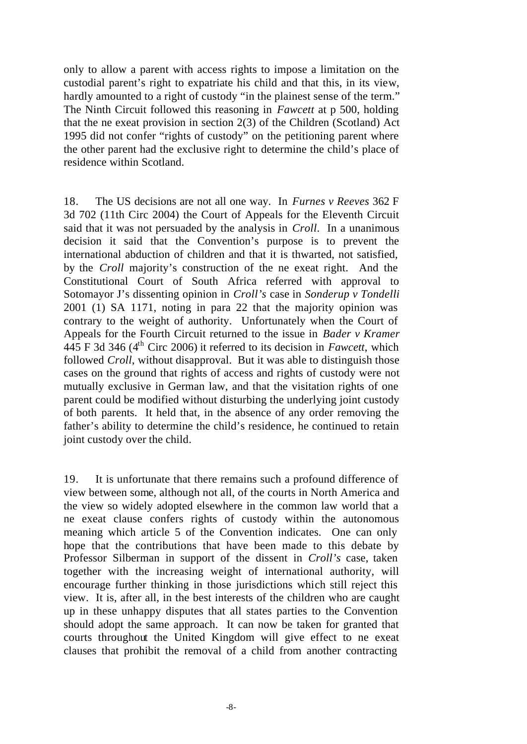only to allow a parent with access rights to impose a limitation on the custodial parent's right to expatriate his child and that this, in its view, hardly amounted to a right of custody "in the plainest sense of the term." The Ninth Circuit followed this reasoning in *Fawcett* at p 500, holding that the ne exeat provision in section 2(3) of the Children (Scotland) Act 1995 did not confer "rights of custody" on the petitioning parent where the other parent had the exclusive right to determine the child's place of residence within Scotland.

18. The US decisions are not all one way. In *Furnes v Reeves* 362 F 3d 702 (11th Circ 2004) the Court of Appeals for the Eleventh Circuit said that it was not persuaded by the analysis in *Croll*. In a unanimous decision it said that the Convention's purpose is to prevent the international abduction of children and that it is thwarted, not satisfied, by the *Croll* majority's construction of the ne exeat right. And the Constitutional Court of South Africa referred with approval to Sotomayor J's dissenting opinion in *Croll's* case in *Sonderup v Tondelli* 2001 (1) SA 1171, noting in para 22 that the majority opinion was contrary to the weight of authority. Unfortunately when the Court of Appeals for the Fourth Circuit returned to the issue in *Bader v Kramer*  $445$  F 3d 346 ( $4<sup>th</sup>$  Circ 2006) it referred to its decision in *Fawcett*, which followed *Croll*, without disapproval. But it was able to distinguish those cases on the ground that rights of access and rights of custody were not mutually exclusive in German law, and that the visitation rights of one parent could be modified without disturbing the underlying joint custody of both parents. It held that, in the absence of any order removing the father's ability to determine the child's residence, he continued to retain joint custody over the child.

19. It is unfortunate that there remains such a profound difference of view between some, although not all, of the courts in North America and the view so widely adopted elsewhere in the common law world that a ne exeat clause confers rights of custody within the autonomous meaning which article 5 of the Convention indicates. One can only hope that the contributions that have been made to this debate by Professor Silberman in support of the dissent in *Croll's* case, taken together with the increasing weight of international authority, will encourage further thinking in those jurisdictions which still reject this view. It is, after all, in the best interests of the children who are caught up in these unhappy disputes that all states parties to the Convention should adopt the same approach. It can now be taken for granted that courts throughout the United Kingdom will give effect to ne exeat clauses that prohibit the removal of a child from another contracting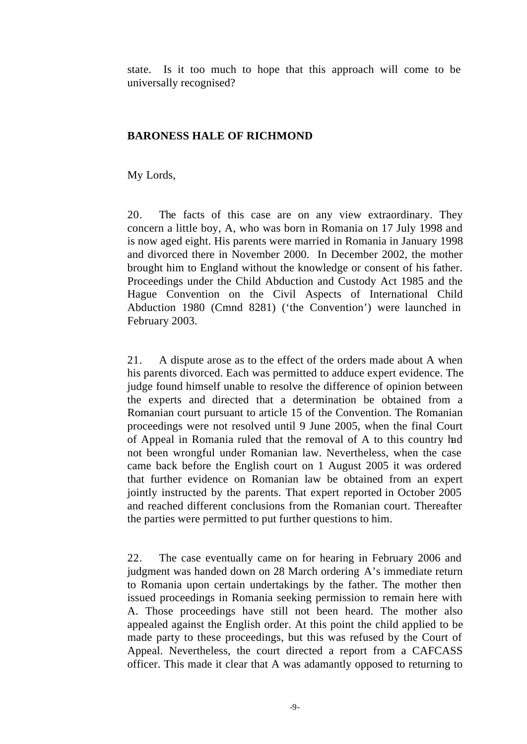state. Is it too much to hope that this approach will come to be universally recognised?

#### **BARONESS HALE OF RICHMOND**

My Lords,

20. The facts of this case are on any view extraordinary. They concern a little boy, A, who was born in Romania on 17 July 1998 and is now aged eight. His parents were married in Romania in January 1998 and divorced there in November 2000. In December 2002, the mother brought him to England without the knowledge or consent of his father. Proceedings under the Child Abduction and Custody Act 1985 and the Hague Convention on the Civil Aspects of International Child Abduction 1980 (Cmnd 8281) ('the Convention') were launched in February 2003.

21. A dispute arose as to the effect of the orders made about A when his parents divorced. Each was permitted to adduce expert evidence. The judge found himself unable to resolve the difference of opinion between the experts and directed that a determination be obtained from a Romanian court pursuant to article 15 of the Convention. The Romanian proceedings were not resolved until 9 June 2005, when the final Court of Appeal in Romania ruled that the removal of A to this country had not been wrongful under Romanian law. Nevertheless, when the case came back before the English court on 1 August 2005 it was ordered that further evidence on Romanian law be obtained from an expert jointly instructed by the parents. That expert reported in October 2005 and reached different conclusions from the Romanian court. Thereafter the parties were permitted to put further questions to him.

22. The case eventually came on for hearing in February 2006 and judgment was handed down on 28 March ordering A's immediate return to Romania upon certain undertakings by the father. The mother then issued proceedings in Romania seeking permission to remain here with A. Those proceedings have still not been heard. The mother also appealed against the English order. At this point the child applied to be made party to these proceedings, but this was refused by the Court of Appeal. Nevertheless, the court directed a report from a CAFCASS officer. This made it clear that A was adamantly opposed to returning to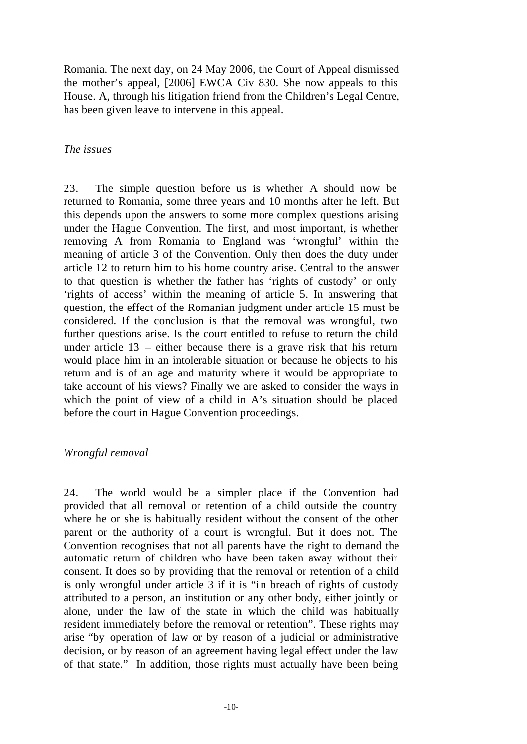Romania. The next day, on 24 May 2006, the Court of Appeal dismissed the mother's appeal, [2006] EWCA Civ 830. She now appeals to this House. A, through his litigation friend from the Children's Legal Centre, has been given leave to intervene in this appeal.

#### *The issues*

23. The simple question before us is whether A should now be returned to Romania, some three years and 10 months after he left. But this depends upon the answers to some more complex questions arising under the Hague Convention. The first, and most important, is whether removing A from Romania to England was 'wrongful' within the meaning of article 3 of the Convention. Only then does the duty under article 12 to return him to his home country arise. Central to the answer to that question is whether the father has 'rights of custody' or only 'rights of access' within the meaning of article 5. In answering that question, the effect of the Romanian judgment under article 15 must be considered. If the conclusion is that the removal was wrongful, two further questions arise. Is the court entitled to refuse to return the child under article  $13$  – either because there is a grave risk that his return would place him in an intolerable situation or because he objects to his return and is of an age and maturity where it would be appropriate to take account of his views? Finally we are asked to consider the ways in which the point of view of a child in A's situation should be placed before the court in Hague Convention proceedings.

#### *Wrongful removal*

24. The world would be a simpler place if the Convention had provided that all removal or retention of a child outside the country where he or she is habitually resident without the consent of the other parent or the authority of a court is wrongful. But it does not. The Convention recognises that not all parents have the right to demand the automatic return of children who have been taken away without their consent. It does so by providing that the removal or retention of a child is only wrongful under article 3 if it is "in breach of rights of custody attributed to a person, an institution or any other body, either jointly or alone, under the law of the state in which the child was habitually resident immediately before the removal or retention". These rights may arise "by operation of law or by reason of a judicial or administrative decision, or by reason of an agreement having legal effect under the law of that state." In addition, those rights must actually have been being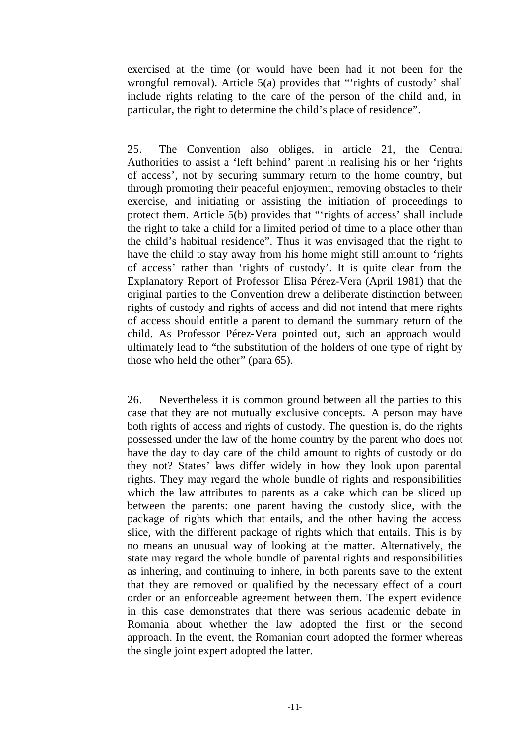exercised at the time (or would have been had it not been for the wrongful removal). Article 5(a) provides that "'rights of custody' shall include rights relating to the care of the person of the child and, in particular, the right to determine the child's place of residence".

25. The Convention also obliges, in article 21, the Central Authorities to assist a 'left behind' parent in realising his or her 'rights of access', not by securing summary return to the home country, but through promoting their peaceful enjoyment, removing obstacles to their exercise, and initiating or assisting the initiation of proceedings to protect them. Article 5(b) provides that "'rights of access' shall include the right to take a child for a limited period of time to a place other than the child's habitual residence". Thus it was envisaged that the right to have the child to stay away from his home might still amount to 'rights of access' rather than 'rights of custody'. It is quite clear from the Explanatory Report of Professor Elisa Pérez-Vera (April 1981) that the original parties to the Convention drew a deliberate distinction between rights of custody and rights of access and did not intend that mere rights of access should entitle a parent to demand the summary return of the child. As Professor Pérez-Vera pointed out, such an approach would ultimately lead to "the substitution of the holders of one type of right by those who held the other" (para 65).

26. Nevertheless it is common ground between all the parties to this case that they are not mutually exclusive concepts. A person may have both rights of access and rights of custody. The question is, do the rights possessed under the law of the home country by the parent who does not have the day to day care of the child amount to rights of custody or do they not? States' laws differ widely in how they look upon parental rights. They may regard the whole bundle of rights and responsibilities which the law attributes to parents as a cake which can be sliced up between the parents: one parent having the custody slice, with the package of rights which that entails, and the other having the access slice, with the different package of rights which that entails. This is by no means an unusual way of looking at the matter. Alternatively, the state may regard the whole bundle of parental rights and responsibilities as inhering, and continuing to inhere, in both parents save to the extent that they are removed or qualified by the necessary effect of a court order or an enforceable agreement between them. The expert evidence in this case demonstrates that there was serious academic debate in Romania about whether the law adopted the first or the second approach. In the event, the Romanian court adopted the former whereas the single joint expert adopted the latter.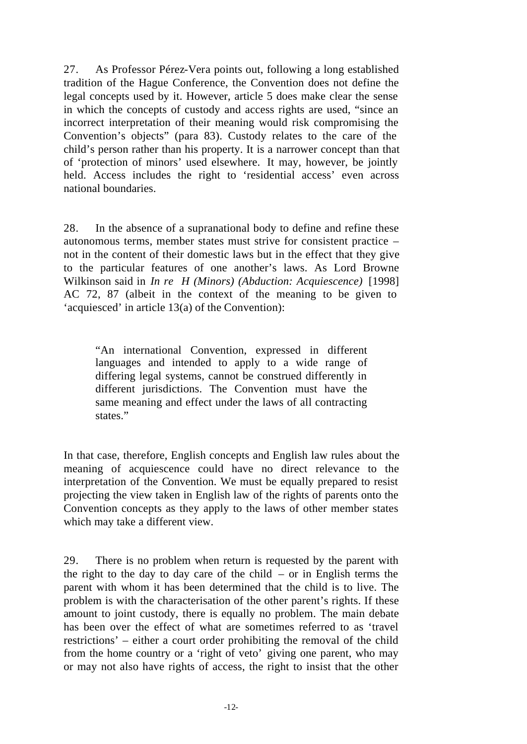27. As Professor Pérez-Vera points out, following a long established tradition of the Hague Conference, the Convention does not define the legal concepts used by it. However, article 5 does make clear the sense in which the concepts of custody and access rights are used, "since an incorrect interpretation of their meaning would risk compromising the Convention's objects" (para 83). Custody relates to the care of the child's person rather than his property. It is a narrower concept than that of 'protection of minors' used elsewhere. It may, however, be jointly held. Access includes the right to 'residential access' even across national boundaries.

28. In the absence of a supranational body to define and refine these autonomous terms, member states must strive for consistent practice – not in the content of their domestic laws but in the effect that they give to the particular features of one another's laws. As Lord Browne Wilkinson said in *In re H (Minors) (Abduction: Acquiescence)* [1998] AC 72, 87 (albeit in the context of the meaning to be given to 'acquiesced' in article 13(a) of the Convention):

"An international Convention, expressed in different languages and intended to apply to a wide range of differing legal systems, cannot be construed differently in different jurisdictions. The Convention must have the same meaning and effect under the laws of all contracting states."

In that case, therefore, English concepts and English law rules about the meaning of acquiescence could have no direct relevance to the interpretation of the Convention. We must be equally prepared to resist projecting the view taken in English law of the rights of parents onto the Convention concepts as they apply to the laws of other member states which may take a different view.

29. There is no problem when return is requested by the parent with the right to the day to day care of the child  $-$  or in English terms the parent with whom it has been determined that the child is to live. The problem is with the characterisation of the other parent's rights. If these amount to joint custody, there is equally no problem. The main debate has been over the effect of what are sometimes referred to as 'travel restrictions' – either a court order prohibiting the removal of the child from the home country or a 'right of veto' giving one parent, who may or may not also have rights of access, the right to insist that the other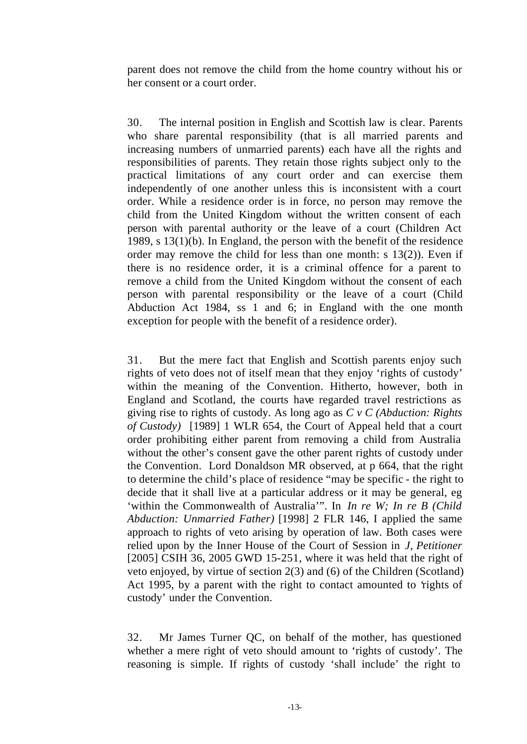parent does not remove the child from the home country without his or her consent or a court order.

30. The internal position in English and Scottish law is clear. Parents who share parental responsibility (that is all married parents and increasing numbers of unmarried parents) each have all the rights and responsibilities of parents. They retain those rights subject only to the practical limitations of any court order and can exercise them independently of one another unless this is inconsistent with a court order. While a residence order is in force, no person may remove the child from the United Kingdom without the written consent of each person with parental authority or the leave of a court (Children Act 1989, s 13(1)(b). In England, the person with the benefit of the residence order may remove the child for less than one month: s 13(2)). Even if there is no residence order, it is a criminal offence for a parent to remove a child from the United Kingdom without the consent of each person with parental responsibility or the leave of a court (Child Abduction Act 1984, ss 1 and 6; in England with the one month exception for people with the benefit of a residence order).

31. But the mere fact that English and Scottish parents enjoy such rights of veto does not of itself mean that they enjoy 'rights of custody' within the meaning of the Convention. Hitherto, however, both in England and Scotland, the courts have regarded travel restrictions as giving rise to rights of custody. As long ago as *C v C (Abduction: Rights of Custody)* [1989] 1 WLR 654, the Court of Appeal held that a court order prohibiting either parent from removing a child from Australia without the other's consent gave the other parent rights of custody under the Convention. Lord Donaldson MR observed, at p 664, that the right to determine the child's place of residence "may be specific - the right to decide that it shall live at a particular address or it may be general, eg 'within the Commonwealth of Australia'". In *In re W; In re B (Child Abduction: Unmarried Father)* [1998] 2 FLR 146, I applied the same approach to rights of veto arising by operation of law. Both cases were relied upon by the Inner House of the Court of Session in *J, Petitioner*  [2005] CSIH 36, 2005 GWD 15-251, where it was held that the right of veto enjoyed, by virtue of section 2(3) and (6) of the Children (Scotland) Act 1995, by a parent with the right to contact amounted to 'rights of custody' under the Convention.

32. Mr James Turner QC, on behalf of the mother, has questioned whether a mere right of veto should amount to 'rights of custody'. The reasoning is simple. If rights of custody 'shall include' the right to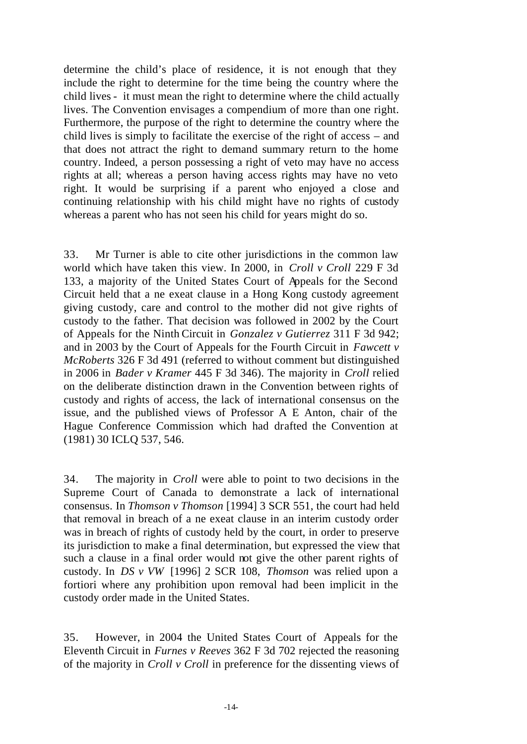determine the child's place of residence, it is not enough that they include the right to determine for the time being the country where the child lives - it must mean the right to determine where the child actually lives. The Convention envisages a compendium of more than one right. Furthermore, the purpose of the right to determine the country where the child lives is simply to facilitate the exercise of the right of access – and that does not attract the right to demand summary return to the home country. Indeed, a person possessing a right of veto may have no access rights at all; whereas a person having access rights may have no veto right. It would be surprising if a parent who enjoyed a close and continuing relationship with his child might have no rights of custody whereas a parent who has not seen his child for years might do so.

33. Mr Turner is able to cite other jurisdictions in the common law world which have taken this view. In 2000, in *Croll v Croll* 229 F 3d 133, a majority of the United States Court of Appeals for the Second Circuit held that a ne exeat clause in a Hong Kong custody agreement giving custody, care and control to the mother did not give rights of custody to the father. That decision was followed in 2002 by the Court of Appeals for the Ninth Circuit in *Gonzalez v Gutierrez* 311 F 3d 942; and in 2003 by the Court of Appeals for the Fourth Circuit in *Fawcett v McRoberts* 326 F 3d 491 (referred to without comment but distinguished in 2006 in *Bader v Kramer* 445 F 3d 346). The majority in *Croll* relied on the deliberate distinction drawn in the Convention between rights of custody and rights of access, the lack of international consensus on the issue, and the published views of Professor A E Anton, chair of the Hague Conference Commission which had drafted the Convention at (1981) 30 ICLQ 537, 546.

34. The majority in *Croll* were able to point to two decisions in the Supreme Court of Canada to demonstrate a lack of international consensus. In *Thomson v Thomson* [1994] 3 SCR 551, the court had held that removal in breach of a ne exeat clause in an interim custody order was in breach of rights of custody held by the court, in order to preserve its jurisdiction to make a final determination, but expressed the view that such a clause in a final order would not give the other parent rights of custody. In *DS v VW* [1996] 2 SCR 108, *Thomson* was relied upon a fortiori where any prohibition upon removal had been implicit in the custody order made in the United States.

35. However, in 2004 the United States Court of Appeals for the Eleventh Circuit in *Furnes v Reeves* 362 F 3d 702 rejected the reasoning of the majority in *Croll v Croll* in preference for the dissenting views of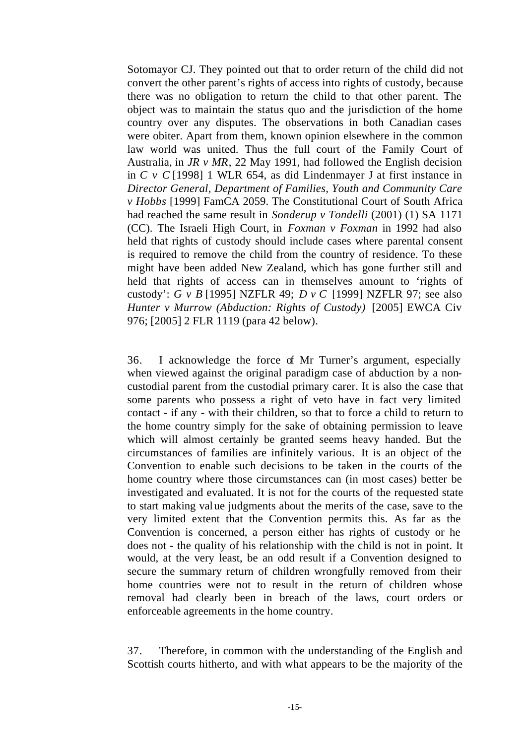Sotomayor CJ. They pointed out that to order return of the child did not convert the other parent's rights of access into rights of custody, because there was no obligation to return the child to that other parent. The object was to maintain the status quo and the jurisdiction of the home country over any disputes. The observations in both Canadian cases were obiter. Apart from them, known opinion elsewhere in the common law world was united. Thus the full court of the Family Court of Australia, in *JR v MR*, 22 May 1991, had followed the English decision in *C v C* [1998] 1 WLR 654, as did Lindenmayer J at first instance in *Director General, Department of Families, Youth and Community Care v Hobbs* [1999] FamCA 2059. The Constitutional Court of South Africa had reached the same result in *Sonderup v Tondelli* (2001) (1) SA 1171 (CC). The Israeli High Court, in *Foxman v Foxman* in 1992 had also held that rights of custody should include cases where parental consent is required to remove the child from the country of residence. To these might have been added New Zealand, which has gone further still and held that rights of access can in themselves amount to 'rights of custody': *G v B* [1995] NZFLR 49; *D v C* [1999] NZFLR 97; see also *Hunter v Murrow (Abduction: Rights of Custody)* [2005] EWCA Civ 976; [2005] 2 FLR 1119 (para 42 below).

36. I acknowledge the force of Mr Turner's argument, especially when viewed against the original paradigm case of abduction by a noncustodial parent from the custodial primary carer. It is also the case that some parents who possess a right of veto have in fact very limited contact - if any - with their children, so that to force a child to return to the home country simply for the sake of obtaining permission to leave which will almost certainly be granted seems heavy handed. But the circumstances of families are infinitely various. It is an object of the Convention to enable such decisions to be taken in the courts of the home country where those circumstances can (in most cases) better be investigated and evaluated. It is not for the courts of the requested state to start making value judgments about the merits of the case, save to the very limited extent that the Convention permits this. As far as the Convention is concerned, a person either has rights of custody or he does not - the quality of his relationship with the child is not in point. It would, at the very least, be an odd result if a Convention designed to secure the summary return of children wrongfully removed from their home countries were not to result in the return of children whose removal had clearly been in breach of the laws, court orders or enforceable agreements in the home country.

37. Therefore, in common with the understanding of the English and Scottish courts hitherto, and with what appears to be the majority of the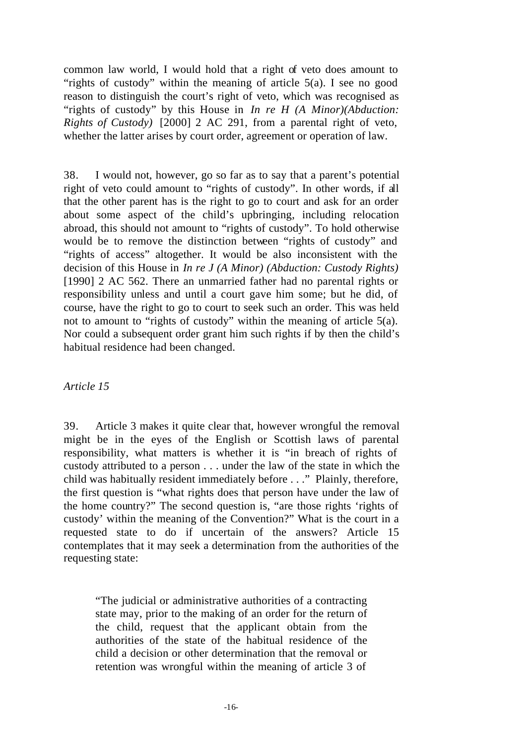common law world, I would hold that a right of veto does amount to "rights of custody" within the meaning of article 5(a). I see no good reason to distinguish the court's right of veto, which was recognised as "rights of custody" by this House in *In re H (A Minor)(Abduction: Rights of Custody*) [2000] 2 AC 291, from a parental right of veto, whether the latter arises by court order, agreement or operation of law.

38. I would not, however, go so far as to say that a parent's potential right of veto could amount to "rights of custody". In other words, if all that the other parent has is the right to go to court and ask for an order about some aspect of the child's upbringing, including relocation abroad, this should not amount to "rights of custody". To hold otherwise would be to remove the distinction between "rights of custody" and "rights of access" altogether. It would be also inconsistent with the decision of this House in *In re J (A Minor) (Abduction: Custody Rights)*  [1990] 2 AC 562. There an unmarried father had no parental rights or responsibility unless and until a court gave him some; but he did, of course, have the right to go to court to seek such an order. This was held not to amount to "rights of custody" within the meaning of article 5(a). Nor could a subsequent order grant him such rights if by then the child's habitual residence had been changed.

#### *Article 15*

39. Article 3 makes it quite clear that, however wrongful the removal might be in the eyes of the English or Scottish laws of parental responsibility, what matters is whether it is "in breach of rights of custody attributed to a person . . . under the law of the state in which the child was habitually resident immediately before . . ." Plainly, therefore, the first question is "what rights does that person have under the law of the home country?" The second question is, "are those rights 'rights of custody' within the meaning of the Convention?" What is the court in a requested state to do if uncertain of the answers? Article 15 contemplates that it may seek a determination from the authorities of the requesting state:

"The judicial or administrative authorities of a contracting state may, prior to the making of an order for the return of the child, request that the applicant obtain from the authorities of the state of the habitual residence of the child a decision or other determination that the removal or retention was wrongful within the meaning of article 3 of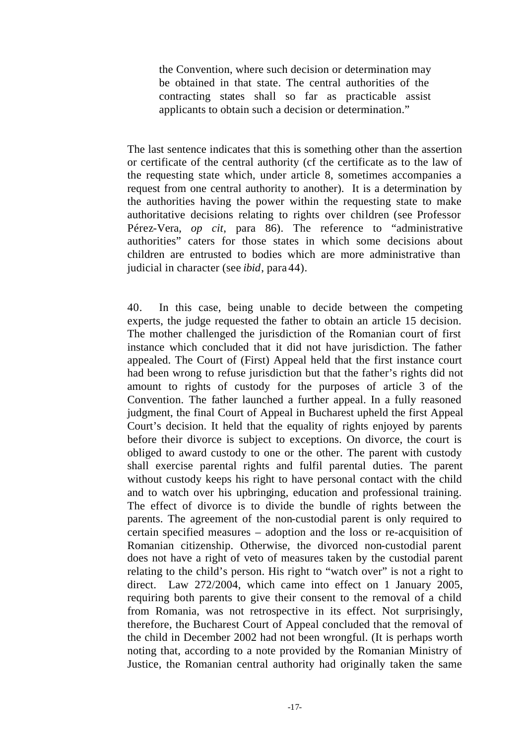the Convention, where such decision or determination may be obtained in that state. The central authorities of the contracting states shall so far as practicable assist applicants to obtain such a decision or determination."

The last sentence indicates that this is something other than the assertion or certificate of the central authority (cf the certificate as to the law of the requesting state which, under article 8, sometimes accompanies a request from one central authority to another). It is a determination by the authorities having the power within the requesting state to make authoritative decisions relating to rights over children (see Professor Pérez-Vera, *op cit*, para 86). The reference to "administrative authorities" caters for those states in which some decisions about children are entrusted to bodies which are more administrative than judicial in character (see *ibid*, para 44).

40. In this case, being unable to decide between the competing experts, the judge requested the father to obtain an article 15 decision. The mother challenged the jurisdiction of the Romanian court of first instance which concluded that it did not have jurisdiction. The father appealed. The Court of (First) Appeal held that the first instance court had been wrong to refuse jurisdiction but that the father's rights did not amount to rights of custody for the purposes of article 3 of the Convention. The father launched a further appeal. In a fully reasoned judgment, the final Court of Appeal in Bucharest upheld the first Appeal Court's decision. It held that the equality of rights enjoyed by parents before their divorce is subject to exceptions. On divorce, the court is obliged to award custody to one or the other. The parent with custody shall exercise parental rights and fulfil parental duties. The parent without custody keeps his right to have personal contact with the child and to watch over his upbringing, education and professional training. The effect of divorce is to divide the bundle of rights between the parents. The agreement of the non-custodial parent is only required to certain specified measures – adoption and the loss or re-acquisition of Romanian citizenship. Otherwise, the divorced non-custodial parent does not have a right of veto of measures taken by the custodial parent relating to the child's person. His right to "watch over" is not a right to direct. Law 272/2004, which came into effect on 1 January 2005, requiring both parents to give their consent to the removal of a child from Romania, was not retrospective in its effect. Not surprisingly, therefore, the Bucharest Court of Appeal concluded that the removal of the child in December 2002 had not been wrongful. (It is perhaps worth noting that, according to a note provided by the Romanian Ministry of Justice, the Romanian central authority had originally taken the same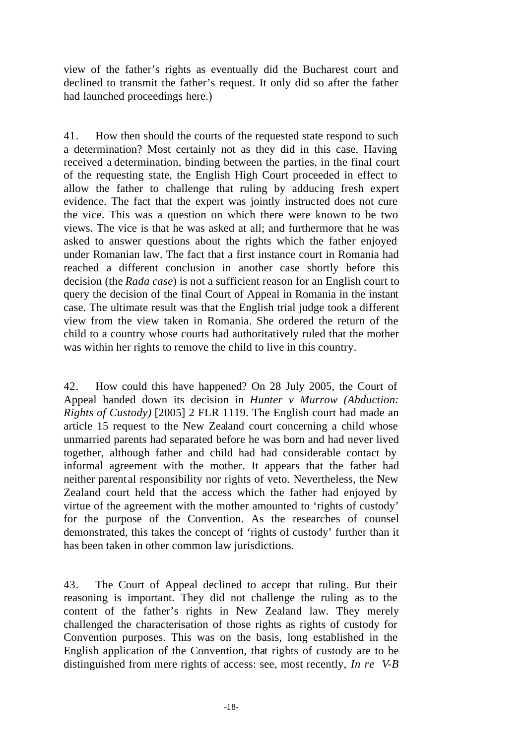view of the father's rights as eventually did the Bucharest court and declined to transmit the father's request. It only did so after the father had launched proceedings here.)

41. How then should the courts of the requested state respond to such a determination? Most certainly not as they did in this case. Having received a determination, binding between the parties, in the final court of the requesting state, the English High Court proceeded in effect to allow the father to challenge that ruling by adducing fresh expert evidence. The fact that the expert was jointly instructed does not cure the vice. This was a question on which there were known to be two views. The vice is that he was asked at all; and furthermore that he was asked to answer questions about the rights which the father enjoyed under Romanian law. The fact that a first instance court in Romania had reached a different conclusion in another case shortly before this decision (the *Rada case*) is not a sufficient reason for an English court to query the decision of the final Court of Appeal in Romania in the instant case. The ultimate result was that the English trial judge took a different view from the view taken in Romania. She ordered the return of the child to a country whose courts had authoritatively ruled that the mother was within her rights to remove the child to live in this country.

42. How could this have happened? On 28 July 2005, the Court of Appeal handed down its decision in *Hunter v Murrow (Abduction: Rights of Custody)* [2005] 2 FLR 1119. The English court had made an article 15 request to the New Zealand court concerning a child whose unmarried parents had separated before he was born and had never lived together, although father and child had had considerable contact by informal agreement with the mother. It appears that the father had neither parent al responsibility nor rights of veto. Nevertheless, the New Zealand court held that the access which the father had enjoyed by virtue of the agreement with the mother amounted to 'rights of custody' for the purpose of the Convention. As the researches of counsel demonstrated, this takes the concept of 'rights of custody' further than it has been taken in other common law jurisdictions.

43. The Court of Appeal declined to accept that ruling. But their reasoning is important. They did not challenge the ruling as to the content of the father's rights in New Zealand law. They merely challenged the characterisation of those rights as rights of custody for Convention purposes. This was on the basis, long established in the English application of the Convention, that rights of custody are to be distinguished from mere rights of access: see, most recently, *In re V-B*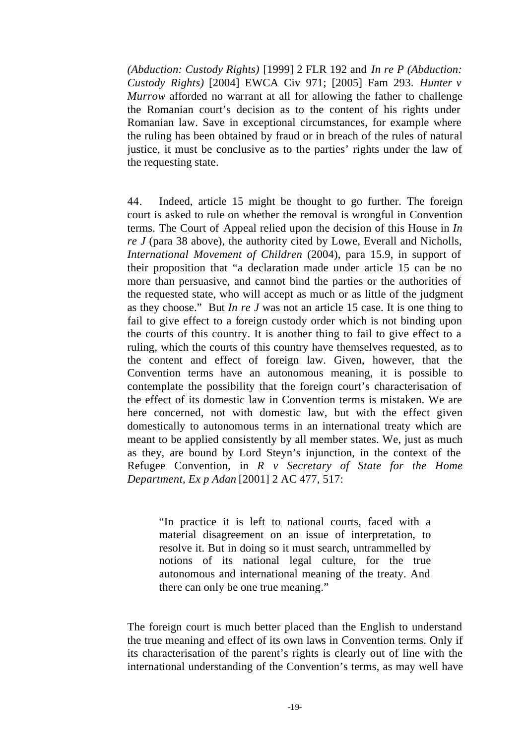*(Abduction: Custody Rights)* [1999] 2 FLR 192 and *In re P (Abduction: Custody Rights)* [2004] EWCA Civ 971; [2005] Fam 293. *Hunter v Murrow* afforded no warrant at all for allowing the father to challenge the Romanian court's decision as to the content of his rights under Romanian law. Save in exceptional circumstances, for example where the ruling has been obtained by fraud or in breach of the rules of natural justice, it must be conclusive as to the parties' rights under the law of the requesting state.

44. Indeed, article 15 might be thought to go further. The foreign court is asked to rule on whether the removal is wrongful in Convention terms. The Court of Appeal relied upon the decision of this House in *In re J* (para 38 above), the authority cited by Lowe, Everall and Nicholls, *International Movement of Children* (2004), para 15.9, in support of their proposition that "a declaration made under article 15 can be no more than persuasive, and cannot bind the parties or the authorities of the requested state, who will accept as much or as little of the judgment as they choose." But *In re J* was not an article 15 case. It is one thing to fail to give effect to a foreign custody order which is not binding upon the courts of this country. It is another thing to fail to give effect to a ruling, which the courts of this country have themselves requested, as to the content and effect of foreign law. Given, however, that the Convention terms have an autonomous meaning, it is possible to contemplate the possibility that the foreign court's characterisation of the effect of its domestic law in Convention terms is mistaken. We are here concerned, not with domestic law, but with the effect given domestically to autonomous terms in an international treaty which are meant to be applied consistently by all member states. We, just as much as they, are bound by Lord Steyn's injunction, in the context of the Refugee Convention, in *R v Secretary of State for the Home Department, Ex p Adan* [2001] 2 AC 477, 517:

"In practice it is left to national courts, faced with a material disagreement on an issue of interpretation, to resolve it. But in doing so it must search, untrammelled by notions of its national legal culture, for the true autonomous and international meaning of the treaty. And there can only be one true meaning."

The foreign court is much better placed than the English to understand the true meaning and effect of its own laws in Convention terms. Only if its characterisation of the parent's rights is clearly out of line with the international understanding of the Convention's terms, as may well have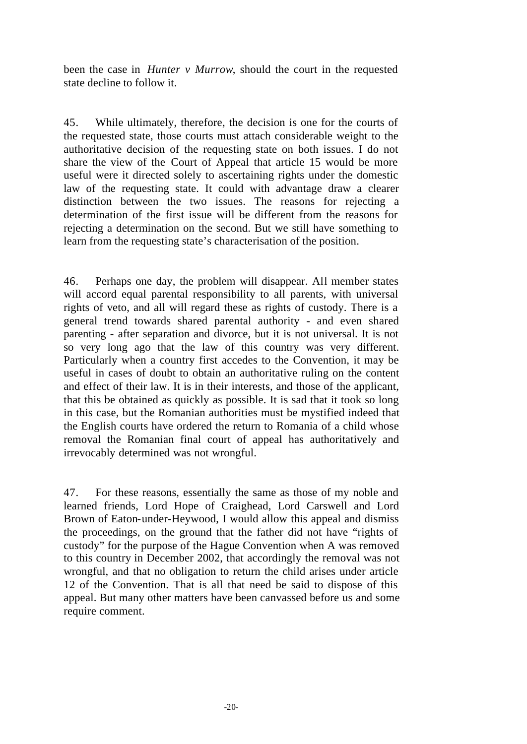been the case in *Hunter v Murrow*, should the court in the requested state decline to follow it.

45. While ultimately, therefore, the decision is one for the courts of the requested state, those courts must attach considerable weight to the authoritative decision of the requesting state on both issues. I do not share the view of the Court of Appeal that article 15 would be more useful were it directed solely to ascertaining rights under the domestic law of the requesting state. It could with advantage draw a clearer distinction between the two issues. The reasons for rejecting a determination of the first issue will be different from the reasons for rejecting a determination on the second. But we still have something to learn from the requesting state's characterisation of the position.

46. Perhaps one day, the problem will disappear. All member states will accord equal parental responsibility to all parents, with universal rights of veto, and all will regard these as rights of custody. There is a general trend towards shared parental authority - and even shared parenting - after separation and divorce, but it is not universal. It is not so very long ago that the law of this country was very different. Particularly when a country first accedes to the Convention, it may be useful in cases of doubt to obtain an authoritative ruling on the content and effect of their law. It is in their interests, and those of the applicant, that this be obtained as quickly as possible. It is sad that it took so long in this case, but the Romanian authorities must be mystified indeed that the English courts have ordered the return to Romania of a child whose removal the Romanian final court of appeal has authoritatively and irrevocably determined was not wrongful.

47. For these reasons, essentially the same as those of my noble and learned friends, Lord Hope of Craighead, Lord Carswell and Lord Brown of Eaton-under-Heywood, I would allow this appeal and dismiss the proceedings, on the ground that the father did not have "rights of custody" for the purpose of the Hague Convention when A was removed to this country in December 2002, that accordingly the removal was not wrongful, and that no obligation to return the child arises under article 12 of the Convention. That is all that need be said to dispose of this appeal. But many other matters have been canvassed before us and some require comment.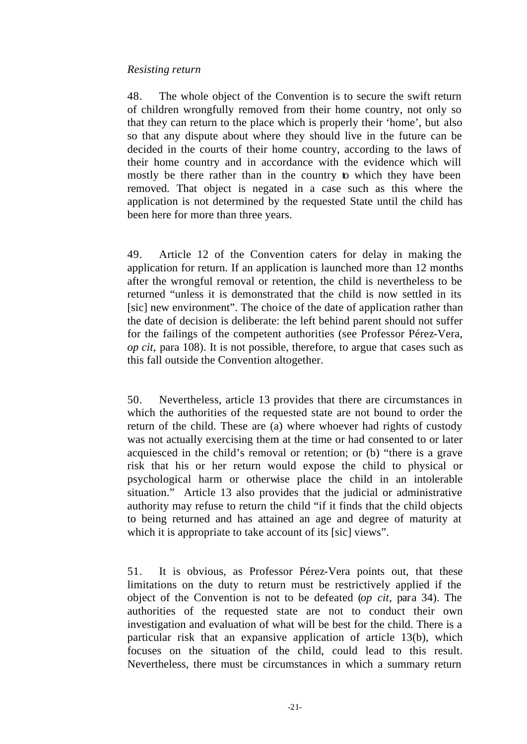#### *Resisting return*

48. The whole object of the Convention is to secure the swift return of children wrongfully removed from their home country, not only so that they can return to the place which is properly their 'home', but also so that any dispute about where they should live in the future can be decided in the courts of their home country, according to the laws of their home country and in accordance with the evidence which will mostly be there rather than in the country to which they have been removed. That object is negated in a case such as this where the application is not determined by the requested State until the child has been here for more than three years.

49. Article 12 of the Convention caters for delay in making the application for return. If an application is launched more than 12 months after the wrongful removal or retention, the child is nevertheless to be returned "unless it is demonstrated that the child is now settled in its [sic] new environment". The choice of the date of application rather than the date of decision is deliberate: the left behind parent should not suffer for the failings of the competent authorities (see Professor Pérez-Vera, *op cit,* para 108). It is not possible, therefore, to argue that cases such as this fall outside the Convention altogether.

50. Nevertheless, article 13 provides that there are circumstances in which the authorities of the requested state are not bound to order the return of the child. These are (a) where whoever had rights of custody was not actually exercising them at the time or had consented to or later acquiesced in the child's removal or retention; or (b) "there is a grave risk that his or her return would expose the child to physical or psychological harm or otherwise place the child in an intolerable situation." Article 13 also provides that the judicial or administrative authority may refuse to return the child "if it finds that the child objects to being returned and has attained an age and degree of maturity at which it is appropriate to take account of its [sic] views".

51. It is obvious, as Professor Pérez-Vera points out, that these limitations on the duty to return must be restrictively applied if the object of the Convention is not to be defeated (*op cit*, para 34). The authorities of the requested state are not to conduct their own investigation and evaluation of what will be best for the child. There is a particular risk that an expansive application of article 13(b), which focuses on the situation of the child, could lead to this result. Nevertheless, there must be circumstances in which a summary return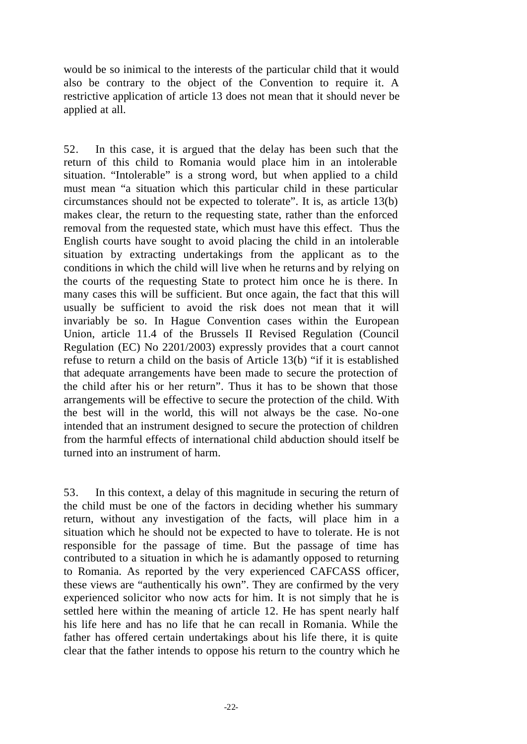would be so inimical to the interests of the particular child that it would also be contrary to the object of the Convention to require it. A restrictive application of article 13 does not mean that it should never be applied at all.

52. In this case, it is argued that the delay has been such that the return of this child to Romania would place him in an intolerable situation. "Intolerable" is a strong word, but when applied to a child must mean "a situation which this particular child in these particular circumstances should not be expected to tolerate". It is, as article 13(b) makes clear, the return to the requesting state, rather than the enforced removal from the requested state, which must have this effect. Thus the English courts have sought to avoid placing the child in an intolerable situation by extracting undertakings from the applicant as to the conditions in which the child will live when he returns and by relying on the courts of the requesting State to protect him once he is there. In many cases this will be sufficient. But once again, the fact that this will usually be sufficient to avoid the risk does not mean that it will invariably be so. In Hague Convention cases within the European Union, article 11.4 of the Brussels II Revised Regulation (Council Regulation (EC) No 2201/2003) expressly provides that a court cannot refuse to return a child on the basis of Article 13(b) "if it is established that adequate arrangements have been made to secure the protection of the child after his or her return". Thus it has to be shown that those arrangements will be effective to secure the protection of the child. With the best will in the world, this will not always be the case. No-one intended that an instrument designed to secure the protection of children from the harmful effects of international child abduction should itself be turned into an instrument of harm.

53. In this context, a delay of this magnitude in securing the return of the child must be one of the factors in deciding whether his summary return, without any investigation of the facts, will place him in a situation which he should not be expected to have to tolerate. He is not responsible for the passage of time. But the passage of time has contributed to a situation in which he is adamantly opposed to returning to Romania. As reported by the very experienced CAFCASS officer, these views are "authentically his own". They are confirmed by the very experienced solicitor who now acts for him. It is not simply that he is settled here within the meaning of article 12. He has spent nearly half his life here and has no life that he can recall in Romania. While the father has offered certain undertakings about his life there, it is quite clear that the father intends to oppose his return to the country which he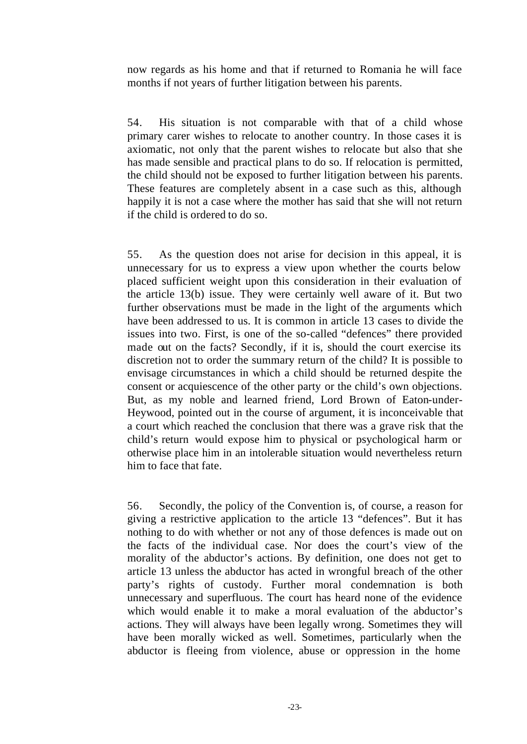now regards as his home and that if returned to Romania he will face months if not years of further litigation between his parents.

54. His situation is not comparable with that of a child whose primary carer wishes to relocate to another country. In those cases it is axiomatic, not only that the parent wishes to relocate but also that she has made sensible and practical plans to do so. If relocation is permitted, the child should not be exposed to further litigation between his parents. These features are completely absent in a case such as this, although happily it is not a case where the mother has said that she will not return if the child is ordered to do so.

55. As the question does not arise for decision in this appeal, it is unnecessary for us to express a view upon whether the courts below placed sufficient weight upon this consideration in their evaluation of the article 13(b) issue. They were certainly well aware of it. But two further observations must be made in the light of the arguments which have been addressed to us. It is common in article 13 cases to divide the issues into two. First, is one of the so-called "defences" there provided made out on the facts? Secondly, if it is, should the court exercise its discretion not to order the summary return of the child? It is possible to envisage circumstances in which a child should be returned despite the consent or acquiescence of the other party or the child's own objections. But, as my noble and learned friend, Lord Brown of Eaton-under-Heywood, pointed out in the course of argument, it is inconceivable that a court which reached the conclusion that there was a grave risk that the child's return would expose him to physical or psychological harm or otherwise place him in an intolerable situation would nevertheless return him to face that fate.

56. Secondly, the policy of the Convention is, of course, a reason for giving a restrictive application to the article 13 "defences". But it has nothing to do with whether or not any of those defences is made out on the facts of the individual case. Nor does the court's view of the morality of the abductor's actions. By definition, one does not get to article 13 unless the abductor has acted in wrongful breach of the other party's rights of custody. Further moral condemnation is both unnecessary and superfluous. The court has heard none of the evidence which would enable it to make a moral evaluation of the abductor's actions. They will always have been legally wrong. Sometimes they will have been morally wicked as well. Sometimes, particularly when the abductor is fleeing from violence, abuse or oppression in the home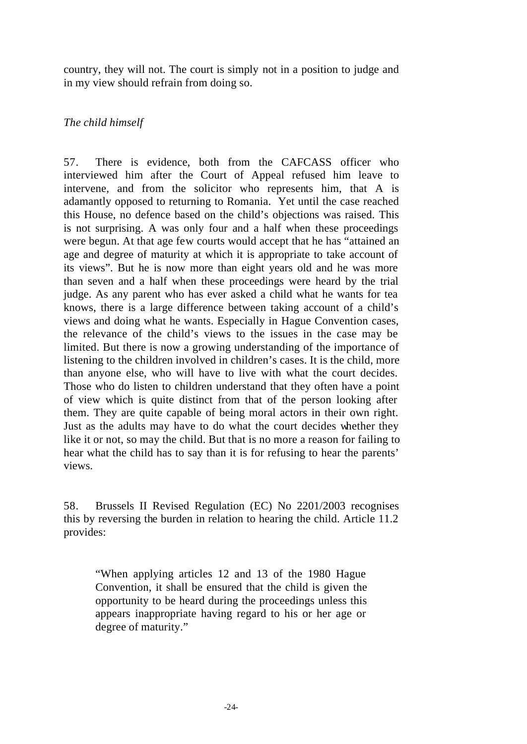country, they will not. The court is simply not in a position to judge and in my view should refrain from doing so.

#### *The child himself*

57. There is evidence, both from the CAFCASS officer who interviewed him after the Court of Appeal refused him leave to intervene, and from the solicitor who represents him, that A is adamantly opposed to returning to Romania. Yet until the case reached this House, no defence based on the child's objections was raised. This is not surprising. A was only four and a half when these proceedings were begun. At that age few courts would accept that he has "attained an age and degree of maturity at which it is appropriate to take account of its views". But he is now more than eight years old and he was more than seven and a half when these proceedings were heard by the trial judge. As any parent who has ever asked a child what he wants for tea knows, there is a large difference between taking account of a child's views and doing what he wants. Especially in Hague Convention cases, the relevance of the child's views to the issues in the case may be limited. But there is now a growing understanding of the importance of listening to the children involved in children's cases. It is the child, more than anyone else, who will have to live with what the court decides. Those who do listen to children understand that they often have a point of view which is quite distinct from that of the person looking after them. They are quite capable of being moral actors in their own right. Just as the adults may have to do what the court decides whether they like it or not, so may the child. But that is no more a reason for failing to hear what the child has to say than it is for refusing to hear the parents' views.

58. Brussels II Revised Regulation (EC) No 2201/2003 recognises this by reversing the burden in relation to hearing the child. Article 11.2 provides:

"When applying articles 12 and 13 of the 1980 Hague Convention, it shall be ensured that the child is given the opportunity to be heard during the proceedings unless this appears inappropriate having regard to his or her age or degree of maturity."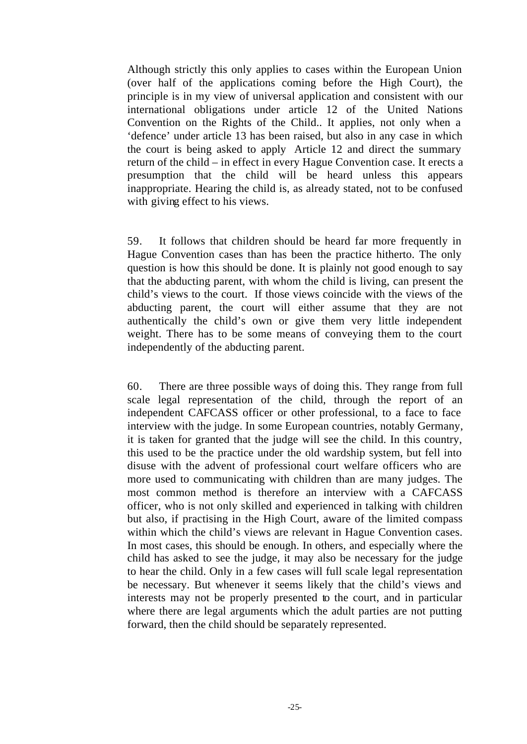Although strictly this only applies to cases within the European Union (over half of the applications coming before the High Court), the principle is in my view of universal application and consistent with our international obligations under article 12 of the United Nations Convention on the Rights of the Child.. It applies, not only when a 'defence' under article 13 has been raised, but also in any case in which the court is being asked to apply Article 12 and direct the summary return of the child – in effect in every Hague Convention case. It erects a presumption that the child will be heard unless this appears inappropriate. Hearing the child is, as already stated, not to be confused with giving effect to his views.

59. It follows that children should be heard far more frequently in Hague Convention cases than has been the practice hitherto. The only question is how this should be done. It is plainly not good enough to say that the abducting parent, with whom the child is living, can present the child's views to the court. If those views coincide with the views of the abducting parent, the court will either assume that they are not authentically the child's own or give them very little independent weight. There has to be some means of conveying them to the court independently of the abducting parent.

60. There are three possible ways of doing this. They range from full scale legal representation of the child, through the report of an independent CAFCASS officer or other professional, to a face to face interview with the judge. In some European countries, notably Germany, it is taken for granted that the judge will see the child. In this country, this used to be the practice under the old wardship system, but fell into disuse with the advent of professional court welfare officers who are more used to communicating with children than are many judges. The most common method is therefore an interview with a CAFCASS officer, who is not only skilled and experienced in talking with children but also, if practising in the High Court, aware of the limited compass within which the child's views are relevant in Hague Convention cases. In most cases, this should be enough. In others, and especially where the child has asked to see the judge, it may also be necessary for the judge to hear the child. Only in a few cases will full scale legal representation be necessary. But whenever it seems likely that the child's views and interests may not be properly presented to the court, and in particular where there are legal arguments which the adult parties are not putting forward, then the child should be separately represented.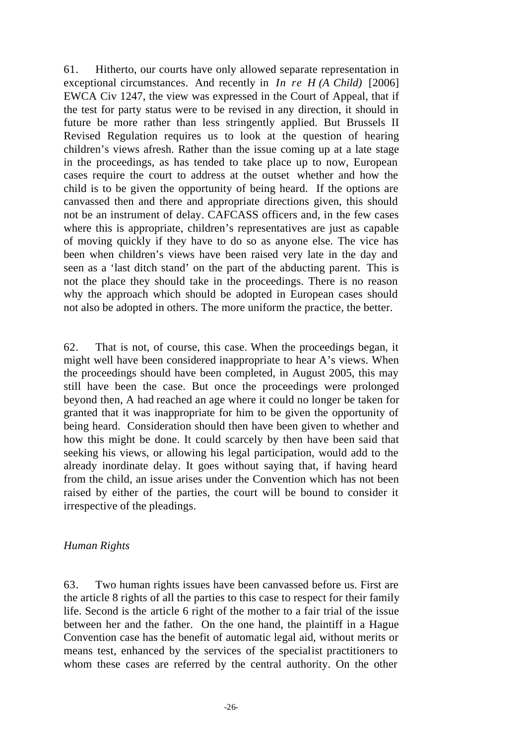61. Hitherto, our courts have only allowed separate representation in exceptional circumstances. And recently in *In re H (A Child)* [2006] EWCA Civ 1247, the view was expressed in the Court of Appeal, that if the test for party status were to be revised in any direction, it should in future be more rather than less stringently applied. But Brussels II Revised Regulation requires us to look at the question of hearing children's views afresh. Rather than the issue coming up at a late stage in the proceedings, as has tended to take place up to now, European cases require the court to address at the outset whether and how the child is to be given the opportunity of being heard. If the options are canvassed then and there and appropriate directions given, this should not be an instrument of delay. CAFCASS officers and, in the few cases where this is appropriate, children's representatives are just as capable of moving quickly if they have to do so as anyone else. The vice has been when children's views have been raised very late in the day and seen as a 'last ditch stand' on the part of the abducting parent. This is not the place they should take in the proceedings. There is no reason why the approach which should be adopted in European cases should not also be adopted in others. The more uniform the practice, the better.

62. That is not, of course, this case. When the proceedings began, it might well have been considered inappropriate to hear A's views. When the proceedings should have been completed, in August 2005, this may still have been the case. But once the proceedings were prolonged beyond then, A had reached an age where it could no longer be taken for granted that it was inappropriate for him to be given the opportunity of being heard. Consideration should then have been given to whether and how this might be done. It could scarcely by then have been said that seeking his views, or allowing his legal participation, would add to the already inordinate delay. It goes without saying that, if having heard from the child, an issue arises under the Convention which has not been raised by either of the parties, the court will be bound to consider it irrespective of the pleadings.

#### *Human Rights*

63. Two human rights issues have been canvassed before us. First are the article 8 rights of all the parties to this case to respect for their family life. Second is the article 6 right of the mother to a fair trial of the issue between her and the father. On the one hand, the plaintiff in a Hague Convention case has the benefit of automatic legal aid, without merits or means test, enhanced by the services of the specialist practitioners to whom these cases are referred by the central authority. On the other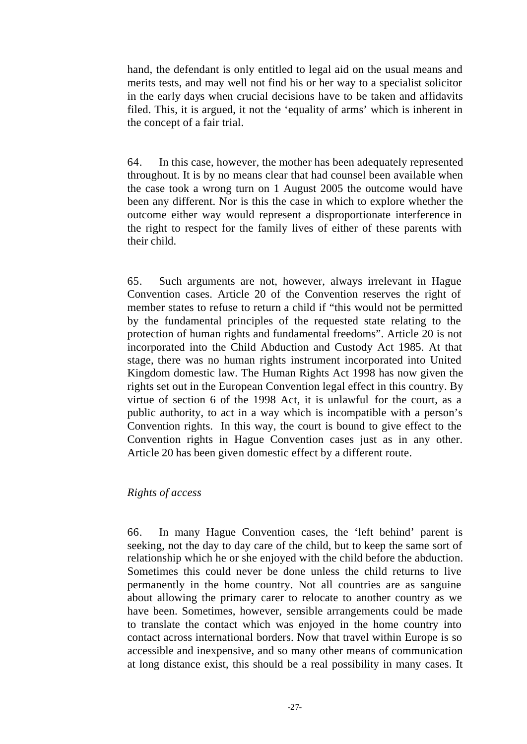hand, the defendant is only entitled to legal aid on the usual means and merits tests, and may well not find his or her way to a specialist solicitor in the early days when crucial decisions have to be taken and affidavits filed. This, it is argued, it not the 'equality of arms' which is inherent in the concept of a fair trial.

64. In this case, however, the mother has been adequately represented throughout. It is by no means clear that had counsel been available when the case took a wrong turn on 1 August 2005 the outcome would have been any different. Nor is this the case in which to explore whether the outcome either way would represent a disproportionate interference in the right to respect for the family lives of either of these parents with their child.

65. Such arguments are not, however, always irrelevant in Hague Convention cases. Article 20 of the Convention reserves the right of member states to refuse to return a child if "this would not be permitted by the fundamental principles of the requested state relating to the protection of human rights and fundamental freedoms". Article 20 is not incorporated into the Child Abduction and Custody Act 1985. At that stage, there was no human rights instrument incorporated into United Kingdom domestic law. The Human Rights Act 1998 has now given the rights set out in the European Convention legal effect in this country. By virtue of section 6 of the 1998 Act, it is unlawful for the court, as a public authority, to act in a way which is incompatible with a person's Convention rights. In this way, the court is bound to give effect to the Convention rights in Hague Convention cases just as in any other. Article 20 has been given domestic effect by a different route.

#### *Rights of access*

66. In many Hague Convention cases, the 'left behind' parent is seeking, not the day to day care of the child, but to keep the same sort of relationship which he or she enjoyed with the child before the abduction. Sometimes this could never be done unless the child returns to live permanently in the home country. Not all countries are as sanguine about allowing the primary carer to relocate to another country as we have been. Sometimes, however, sensible arrangements could be made to translate the contact which was enjoyed in the home country into contact across international borders. Now that travel within Europe is so accessible and inexpensive, and so many other means of communication at long distance exist, this should be a real possibility in many cases. It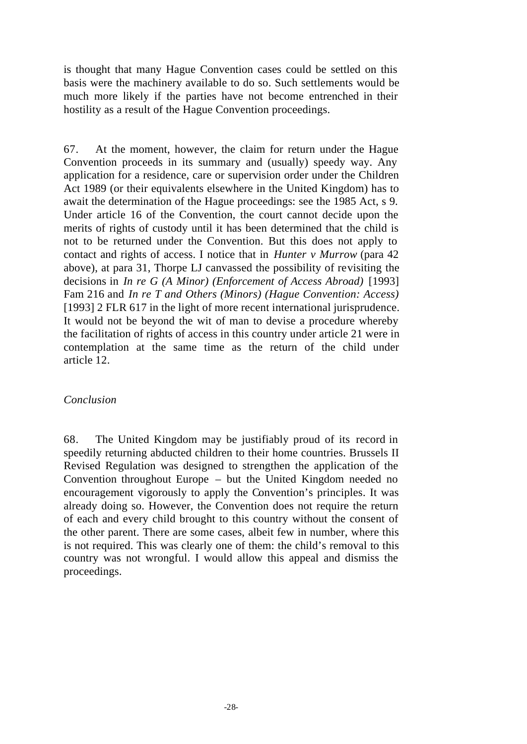is thought that many Hague Convention cases could be settled on this basis were the machinery available to do so. Such settlements would be much more likely if the parties have not become entrenched in their hostility as a result of the Hague Convention proceedings.

67. At the moment, however, the claim for return under the Hague Convention proceeds in its summary and (usually) speedy way. Any application for a residence, care or supervision order under the Children Act 1989 (or their equivalents elsewhere in the United Kingdom) has to await the determination of the Hague proceedings: see the 1985 Act, s 9. Under article 16 of the Convention, the court cannot decide upon the merits of rights of custody until it has been determined that the child is not to be returned under the Convention. But this does not apply to contact and rights of access. I notice that in *Hunter v Murrow* (para 42 above), at para 31, Thorpe LJ canvassed the possibility of revisiting the decisions in *In re G (A Minor) (Enforcement of Access Abroad)* [1993] Fam 216 and *In re T and Others (Minors) (Hague Convention: Access)*  [1993] 2 FLR 617 in the light of more recent international jurisprudence. It would not be beyond the wit of man to devise a procedure whereby the facilitation of rights of access in this country under article 21 were in contemplation at the same time as the return of the child under article 12.

#### *Conclusion*

68. The United Kingdom may be justifiably proud of its record in speedily returning abducted children to their home countries. Brussels II Revised Regulation was designed to strengthen the application of the Convention throughout Europe – but the United Kingdom needed no encouragement vigorously to apply the Convention's principles. It was already doing so. However, the Convention does not require the return of each and every child brought to this country without the consent of the other parent. There are some cases, albeit few in number, where this is not required. This was clearly one of them: the child's removal to this country was not wrongful. I would allow this appeal and dismiss the proceedings.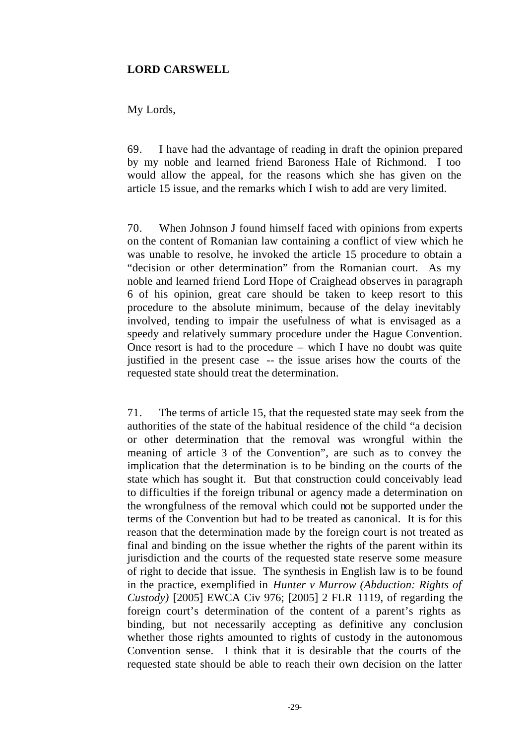#### **LORD CARSWELL**

My Lords,

69. I have had the advantage of reading in draft the opinion prepared by my noble and learned friend Baroness Hale of Richmond. I too would allow the appeal, for the reasons which she has given on the article 15 issue, and the remarks which I wish to add are very limited.

70. When Johnson J found himself faced with opinions from experts on the content of Romanian law containing a conflict of view which he was unable to resolve, he invoked the article 15 procedure to obtain a "decision or other determination" from the Romanian court. As my noble and learned friend Lord Hope of Craighead observes in paragraph 6 of his opinion, great care should be taken to keep resort to this procedure to the absolute minimum, because of the delay inevitably involved, tending to impair the usefulness of what is envisaged as a speedy and relatively summary procedure under the Hague Convention. Once resort is had to the procedure – which I have no doubt was quite justified in the present case -- the issue arises how the courts of the requested state should treat the determination.

71. The terms of article 15, that the requested state may seek from the authorities of the state of the habitual residence of the child "a decision or other determination that the removal was wrongful within the meaning of article 3 of the Convention", are such as to convey the implication that the determination is to be binding on the courts of the state which has sought it. But that construction could conceivably lead to difficulties if the foreign tribunal or agency made a determination on the wrongfulness of the removal which could not be supported under the terms of the Convention but had to be treated as canonical. It is for this reason that the determination made by the foreign court is not treated as final and binding on the issue whether the rights of the parent within its jurisdiction and the courts of the requested state reserve some measure of right to decide that issue. The synthesis in English law is to be found in the practice, exemplified in *Hunter v Murrow (Abduction: Rights of Custody)* [2005] EWCA Civ 976; [2005] 2 FLR 1119, of regarding the foreign court's determination of the content of a parent's rights as binding, but not necessarily accepting as definitive any conclusion whether those rights amounted to rights of custody in the autonomous Convention sense. I think that it is desirable that the courts of the requested state should be able to reach their own decision on the latter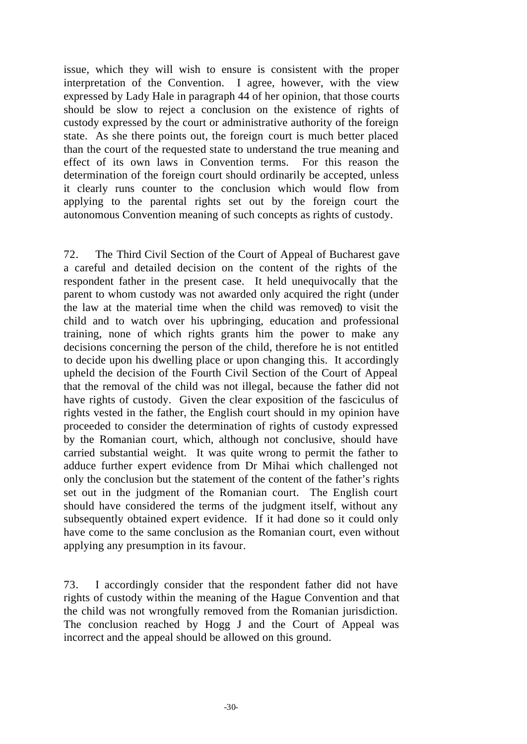issue, which they will wish to ensure is consistent with the proper interpretation of the Convention. I agree, however, with the view expressed by Lady Hale in paragraph 44 of her opinion, that those courts should be slow to reject a conclusion on the existence of rights of custody expressed by the court or administrative authority of the foreign state. As she there points out, the foreign court is much better placed than the court of the requested state to understand the true meaning and effect of its own laws in Convention terms. For this reason the determination of the foreign court should ordinarily be accepted, unless it clearly runs counter to the conclusion which would flow from applying to the parental rights set out by the foreign court the autonomous Convention meaning of such concepts as rights of custody.

72. The Third Civil Section of the Court of Appeal of Bucharest gave a careful and detailed decision on the content of the rights of the respondent father in the present case. It held unequivocally that the parent to whom custody was not awarded only acquired the right (under the law at the material time when the child was removed) to visit the child and to watch over his upbringing, education and professional training, none of which rights grants him the power to make any decisions concerning the person of the child, therefore he is not entitled to decide upon his dwelling place or upon changing this. It accordingly upheld the decision of the Fourth Civil Section of the Court of Appeal that the removal of the child was not illegal, because the father did not have rights of custody. Given the clear exposition of the fasciculus of rights vested in the father, the English court should in my opinion have proceeded to consider the determination of rights of custody expressed by the Romanian court, which, although not conclusive, should have carried substantial weight. It was quite wrong to permit the father to adduce further expert evidence from Dr Mihai which challenged not only the conclusion but the statement of the content of the father's rights set out in the judgment of the Romanian court. The English court should have considered the terms of the judgment itself, without any subsequently obtained expert evidence. If it had done so it could only have come to the same conclusion as the Romanian court, even without applying any presumption in its favour.

73. I accordingly consider that the respondent father did not have rights of custody within the meaning of the Hague Convention and that the child was not wrongfully removed from the Romanian jurisdiction. The conclusion reached by Hogg J and the Court of Appeal was incorrect and the appeal should be allowed on this ground.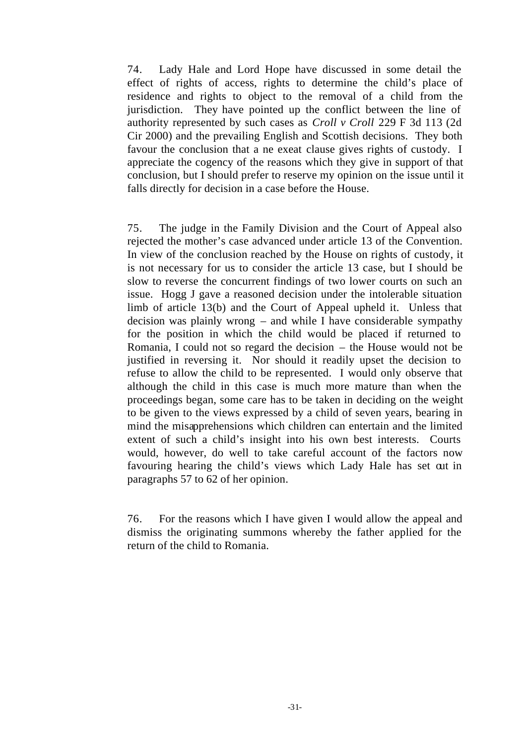74. Lady Hale and Lord Hope have discussed in some detail the effect of rights of access, rights to determine the child's place of residence and rights to object to the removal of a child from the jurisdiction. They have pointed up the conflict between the line of authority represented by such cases as *Croll v Croll* 229 F 3d 113 (2d Cir 2000) and the prevailing English and Scottish decisions. They both favour the conclusion that a ne exeat clause gives rights of custody. I appreciate the cogency of the reasons which they give in support of that conclusion, but I should prefer to reserve my opinion on the issue until it falls directly for decision in a case before the House.

75. The judge in the Family Division and the Court of Appeal also rejected the mother's case advanced under article 13 of the Convention. In view of the conclusion reached by the House on rights of custody, it is not necessary for us to consider the article 13 case, but I should be slow to reverse the concurrent findings of two lower courts on such an issue. Hogg J gave a reasoned decision under the intolerable situation limb of article 13(b) and the Court of Appeal upheld it. Unless that decision was plainly wrong – and while I have considerable sympathy for the position in which the child would be placed if returned to Romania, I could not so regard the decision – the House would not be justified in reversing it. Nor should it readily upset the decision to refuse to allow the child to be represented. I would only observe that although the child in this case is much more mature than when the proceedings began, some care has to be taken in deciding on the weight to be given to the views expressed by a child of seven years, bearing in mind the misapprehensions which children can entertain and the limited extent of such a child's insight into his own best interests. Courts would, however, do well to take careful account of the factors now favouring hearing the child's views which Lady Hale has set out in paragraphs 57 to 62 of her opinion.

76. For the reasons which I have given I would allow the appeal and dismiss the originating summons whereby the father applied for the return of the child to Romania.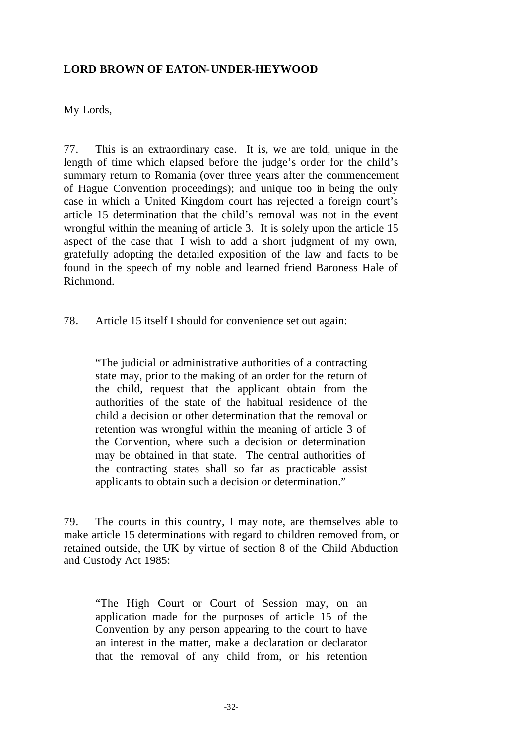#### **LORD BROWN OF EATON-UNDER-HEYWOOD**

My Lords,

77. This is an extraordinary case. It is, we are told, unique in the length of time which elapsed before the judge's order for the child's summary return to Romania (over three years after the commencement of Hague Convention proceedings); and unique too in being the only case in which a United Kingdom court has rejected a foreign court's article 15 determination that the child's removal was not in the event wrongful within the meaning of article 3. It is solely upon the article 15 aspect of the case that I wish to add a short judgment of my own, gratefully adopting the detailed exposition of the law and facts to be found in the speech of my noble and learned friend Baroness Hale of Richmond.

78. Article 15 itself I should for convenience set out again:

"The judicial or administrative authorities of a contracting state may, prior to the making of an order for the return of the child, request that the applicant obtain from the authorities of the state of the habitual residence of the child a decision or other determination that the removal or retention was wrongful within the meaning of article 3 of the Convention, where such a decision or determination may be obtained in that state. The central authorities of the contracting states shall so far as practicable assist applicants to obtain such a decision or determination."

79. The courts in this country, I may note, are themselves able to make article 15 determinations with regard to children removed from, or retained outside, the UK by virtue of section 8 of the Child Abduction and Custody Act 1985:

"The High Court or Court of Session may, on an application made for the purposes of article 15 of the Convention by any person appearing to the court to have an interest in the matter, make a declaration or declarator that the removal of any child from, or his retention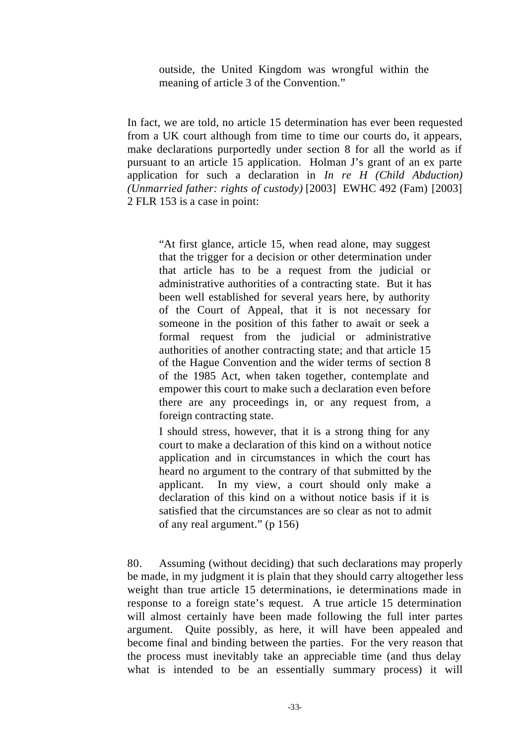outside, the United Kingdom was wrongful within the meaning of article 3 of the Convention."

In fact, we are told, no article 15 determination has ever been requested from a UK court although from time to time our courts do, it appears, make declarations purportedly under section 8 for all the world as if pursuant to an article 15 application. Holman J's grant of an ex parte application for such a declaration in *In re H (Child Abduction) (Unmarried father: rights of custody)* [2003] EWHC 492 (Fam) [2003] 2 FLR 153 is a case in point:

"At first glance, article 15, when read alone, may suggest that the trigger for a decision or other determination under that article has to be a request from the judicial or administrative authorities of a contracting state. But it has been well established for several years here, by authority of the Court of Appeal, that it is not necessary for someone in the position of this father to await or seek a formal request from the judicial or administrative authorities of another contracting state; and that article 15 of the Hague Convention and the wider terms of section 8 of the 1985 Act, when taken together, contemplate and empower this court to make such a declaration even before there are any proceedings in, or any request from, a foreign contracting state.

I should stress, however, that it is a strong thing for any court to make a declaration of this kind on a without notice application and in circumstances in which the court has heard no argument to the contrary of that submitted by the applicant. In my view, a court should only make a declaration of this kind on a without notice basis if it is satisfied that the circumstances are so clear as not to admit of any real argument." (p 156)

80. Assuming (without deciding) that such declarations may properly be made, in my judgment it is plain that they should carry altogether less weight than true article 15 determinations, ie determinations made in response to a foreign state's request. A true article 15 determination will almost certainly have been made following the full inter partes argument. Quite possibly, as here, it will have been appealed and become final and binding between the parties. For the very reason that the process must inevitably take an appreciable time (and thus delay what is intended to be an essentially summary process) it will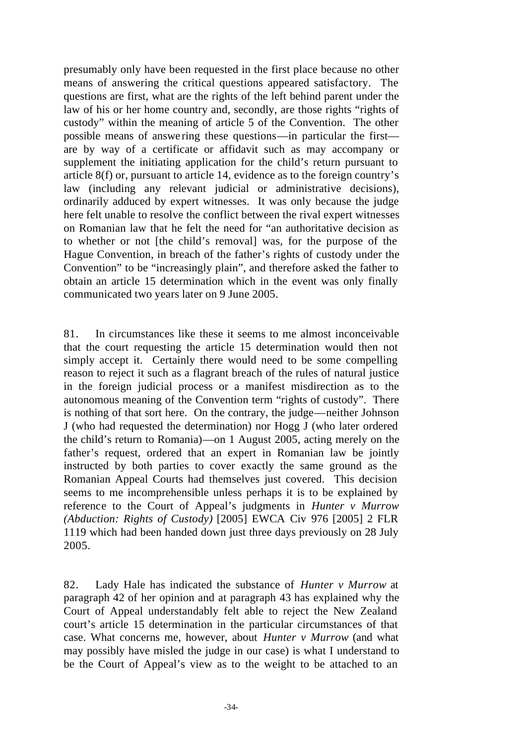presumably only have been requested in the first place because no other means of answering the critical questions appeared satisfactory. The questions are first, what are the rights of the left behind parent under the law of his or her home country and, secondly, are those rights "rights of custody" within the meaning of article 5 of the Convention. The other possible means of answe ring these questions—in particular the first are by way of a certificate or affidavit such as may accompany or supplement the initiating application for the child's return pursuant to article 8(f) or, pursuant to article 14, evidence as to the foreign country's law (including any relevant judicial or administrative decisions), ordinarily adduced by expert witnesses. It was only because the judge here felt unable to resolve the conflict between the rival expert witnesses on Romanian law that he felt the need for "an authoritative decision as to whether or not [the child's removal] was, for the purpose of the Hague Convention, in breach of the father's rights of custody under the Convention" to be "increasingly plain", and therefore asked the father to obtain an article 15 determination which in the event was only finally communicated two years later on 9 June 2005.

81. In circumstances like these it seems to me almost inconceivable that the court requesting the article 15 determination would then not simply accept it. Certainly there would need to be some compelling reason to reject it such as a flagrant breach of the rules of natural justice in the foreign judicial process or a manifest misdirection as to the autonomous meaning of the Convention term "rights of custody". There is nothing of that sort here. On the contrary, the judge—neither Johnson J (who had requested the determination) nor Hogg J (who later ordered the child's return to Romania)—on 1 August 2005, acting merely on the father's request, ordered that an expert in Romanian law be jointly instructed by both parties to cover exactly the same ground as the Romanian Appeal Courts had themselves just covered. This decision seems to me incomprehensible unless perhaps it is to be explained by reference to the Court of Appeal's judgments in *Hunter v Murrow (Abduction: Rights of Custody)* [2005] EWCA Civ 976 [2005] 2 FLR 1119 which had been handed down just three days previously on 28 July 2005.

82. Lady Hale has indicated the substance of *Hunter v Murrow* at paragraph 42 of her opinion and at paragraph 43 has explained why the Court of Appeal understandably felt able to reject the New Zealand court's article 15 determination in the particular circumstances of that case. What concerns me, however, about *Hunter v Murrow* (and what may possibly have misled the judge in our case) is what I understand to be the Court of Appeal's view as to the weight to be attached to an